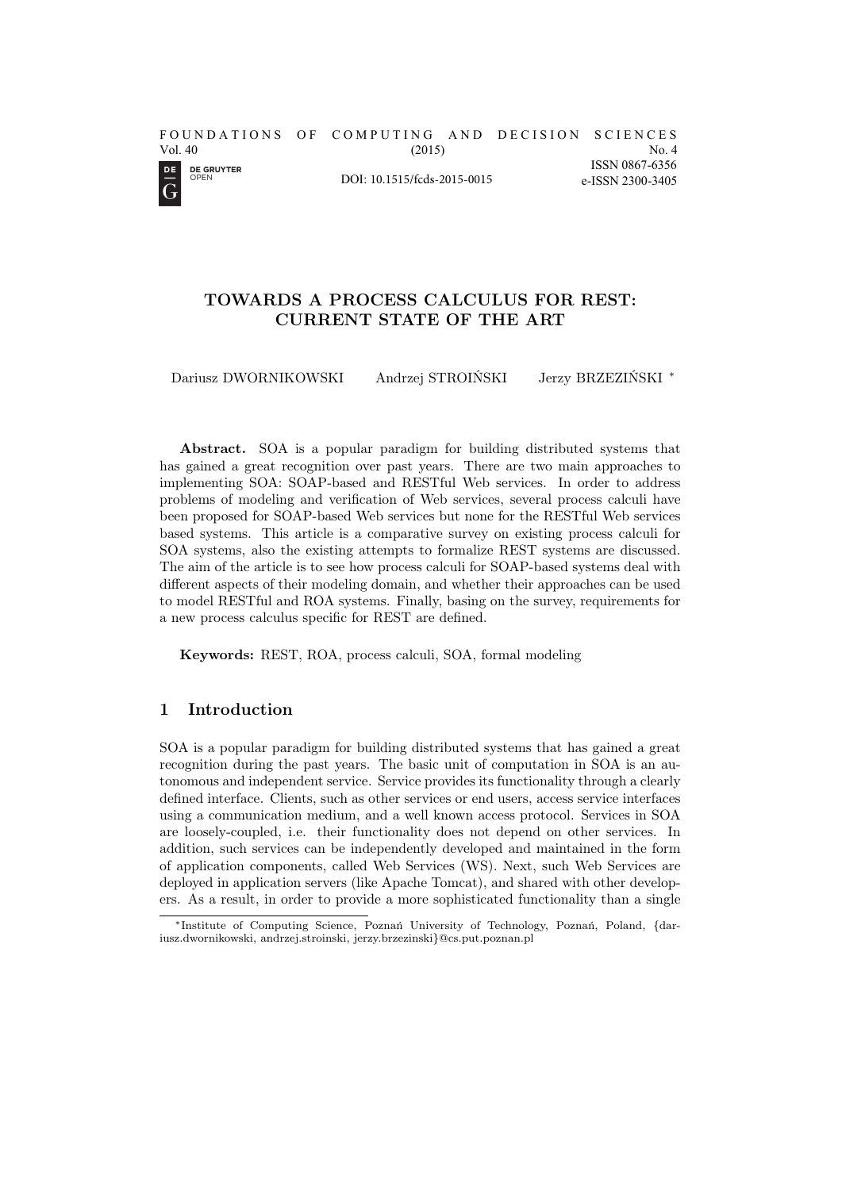

DOI: 10.1515/fcds-2015-0015

#### No. 4 ISSN 0867-6356 e-ISSN 2300-3405

# TOWARDS A PROCESS CALCULUS FOR REST: CURRENT STATE OF THE ART

Dariusz DWORNIKOWSKI Andrzej STROIŃSKI Jerzy BRZEZIŃSKI *<sup>∗</sup>*

Abstract. SOA is a popular paradigm for building distributed systems that has gained a great recognition over past years. There are two main approaches to implementing SOA: SOAP-based and RESTful Web services. In order to address problems of modeling and verification of Web services, several process calculi have been proposed for SOAP-based Web services but none for the RESTful Web services based systems. This article is a comparative survey on existing process calculi for SOA systems, also the existing attempts to formalize REST systems are discussed. The aim of the article is to see how process calculi for SOAP-based systems deal with different aspects of their modeling domain, and whether their approaches can be used to model RESTful and ROA systems. Finally, basing on the survey, requirements for a new process calculus specific for REST are defined.

Keywords: REST, ROA, process calculi, SOA, formal modeling

## 1 Introduction

SOA is a popular paradigm for building distributed systems that has gained a great recognition during the past years. The basic unit of computation in SOA is an autonomous and independent service. Service provides its functionality through a clearly defined interface. Clients, such as other services or end users, access service interfaces using a communication medium, and a well known access protocol. Services in SOA are loosely-coupled, i.e. their functionality does not depend on other services. In addition, such services can be independently developed and maintained in the form of application components, called Web Services (WS). Next, such Web Services are deployed in application servers (like Apache Tomcat), and shared with other developers. As a result, in order to provide a more sophisticated functionality than a single

*<sup>∗</sup>*Institute of Computing Science, Poznań University of Technology, Poznań, Poland, {dariusz.dwornikowski, andrzej.stroinski, jerzy.brzezinski}@cs.put.poznan.pl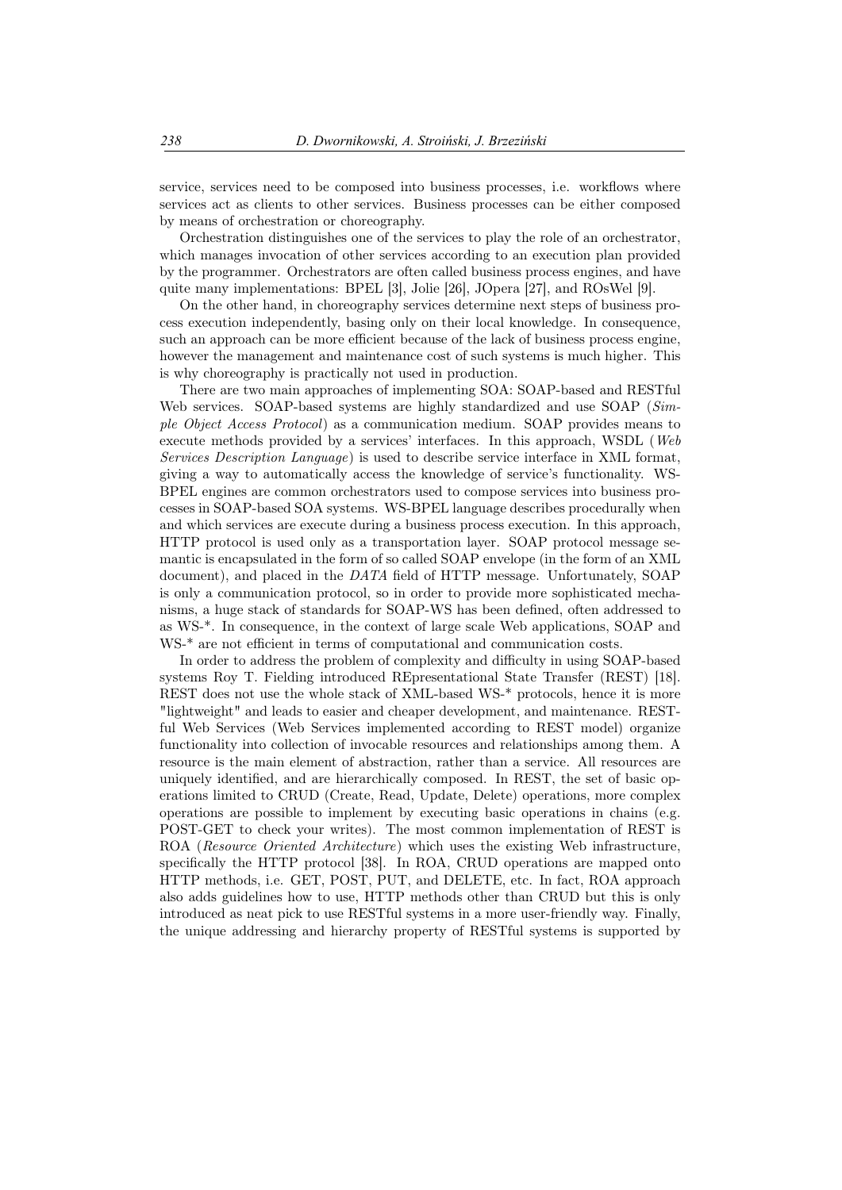service, services need to be composed into business processes, i.e. workflows where services act as clients to other services. Business processes can be either composed by means of orchestration or choreography.

Orchestration distinguishes one of the services to play the role of an orchestrator, which manages invocation of other services according to an execution plan provided by the programmer. Orchestrators are often called business process engines, and have quite many implementations: BPEL [3], Jolie [26], JOpera [27], and ROsWel [9].

On the other hand, in choreography services determine next steps of business process execution independently, basing only on their local knowledge. In consequence, such an approach can be more efficient because of the lack of business process engine, however the management and maintenance cost of such systems is much higher. This is why choreography is practically not used in production.

There are two main approaches of implementing SOA: SOAP-based and RESTful Web services. SOAP-based systems are highly standardized and use SOAP (*Simple Object Access Protocol*) as a communication medium. SOAP provides means to execute methods provided by a services' interfaces. In this approach, WSDL (*Web Services Description Language*) is used to describe service interface in XML format, giving a way to automatically access the knowledge of service's functionality. WS-BPEL engines are common orchestrators used to compose services into business processes in SOAP-based SOA systems. WS-BPEL language describes procedurally when and which services are execute during a business process execution. In this approach, HTTP protocol is used only as a transportation layer. SOAP protocol message semantic is encapsulated in the form of so called SOAP envelope (in the form of an XML document), and placed in the *DATA* field of HTTP message. Unfortunately, SOAP is only a communication protocol, so in order to provide more sophisticated mechanisms, a huge stack of standards for SOAP-WS has been defined, often addressed to as WS-\*. In consequence, in the context of large scale Web applications, SOAP and WS-\* are not efficient in terms of computational and communication costs.

In order to address the problem of complexity and difficulty in using SOAP-based systems Roy T. Fielding introduced REpresentational State Transfer (REST) [18]. REST does not use the whole stack of XML-based WS-\* protocols, hence it is more "lightweight" and leads to easier and cheaper development, and maintenance. RESTful Web Services (Web Services implemented according to REST model) organize functionality into collection of invocable resources and relationships among them. A resource is the main element of abstraction, rather than a service. All resources are uniquely identified, and are hierarchically composed. In REST, the set of basic operations limited to CRUD (Create, Read, Update, Delete) operations, more complex operations are possible to implement by executing basic operations in chains (e.g. POST-GET to check your writes). The most common implementation of REST is ROA (*Resource Oriented Architecture*) which uses the existing Web infrastructure, specifically the HTTP protocol [38]. In ROA, CRUD operations are mapped onto HTTP methods, i.e. GET, POST, PUT, and DELETE, etc. In fact, ROA approach also adds guidelines how to use, HTTP methods other than CRUD but this is only introduced as neat pick to use RESTful systems in a more user-friendly way. Finally, the unique addressing and hierarchy property of RESTful systems is supported by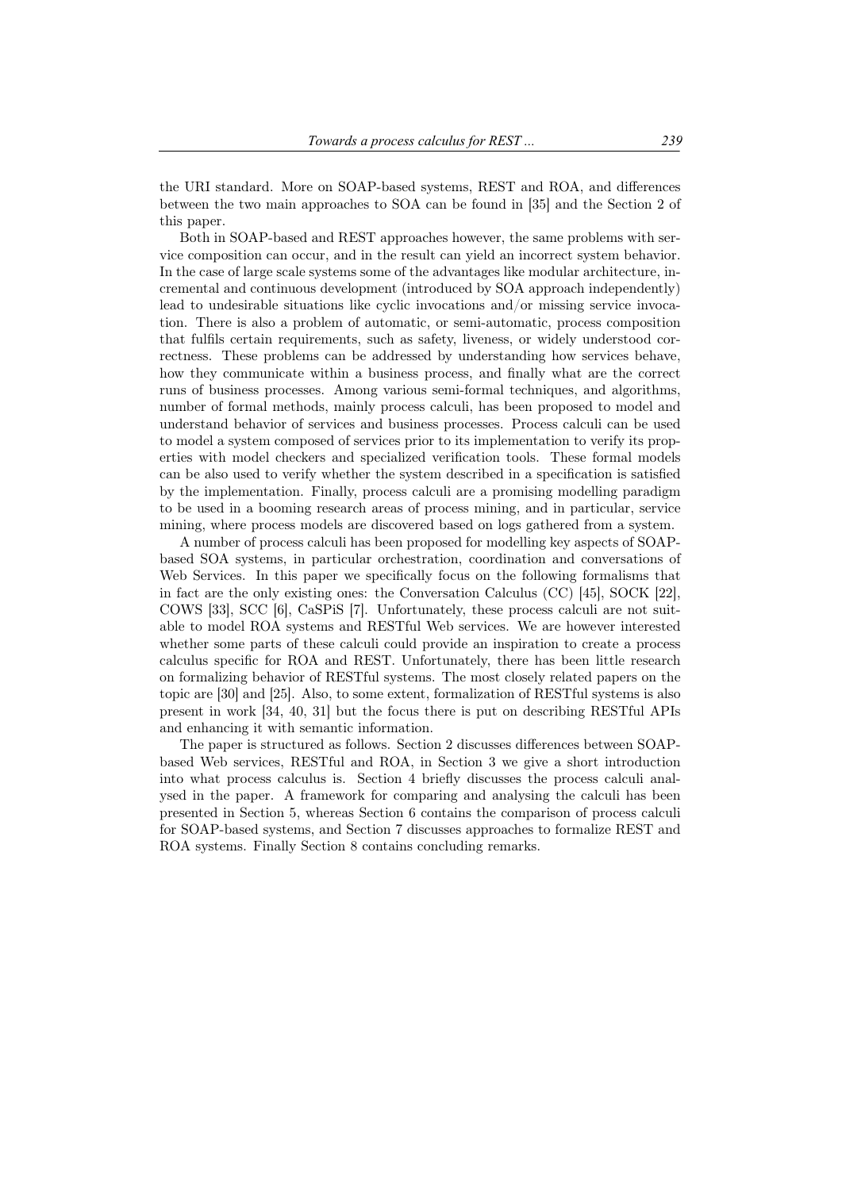the URI standard. More on SOAP-based systems, REST and ROA, and differences between the two main approaches to SOA can be found in [35] and the Section 2 of this paper.

Both in SOAP-based and REST approaches however, the same problems with service composition can occur, and in the result can yield an incorrect system behavior. In the case of large scale systems some of the advantages like modular architecture, incremental and continuous development (introduced by SOA approach independently) lead to undesirable situations like cyclic invocations and/or missing service invocation. There is also a problem of automatic, or semi-automatic, process composition that fulfils certain requirements, such as safety, liveness, or widely understood correctness. These problems can be addressed by understanding how services behave, how they communicate within a business process, and finally what are the correct runs of business processes. Among various semi-formal techniques, and algorithms, number of formal methods, mainly process calculi, has been proposed to model and understand behavior of services and business processes. Process calculi can be used to model a system composed of services prior to its implementation to verify its properties with model checkers and specialized verification tools. These formal models can be also used to verify whether the system described in a specification is satisfied by the implementation. Finally, process calculi are a promising modelling paradigm to be used in a booming research areas of process mining, and in particular, service mining, where process models are discovered based on logs gathered from a system.

A number of process calculi has been proposed for modelling key aspects of SOAPbased SOA systems, in particular orchestration, coordination and conversations of Web Services. In this paper we specifically focus on the following formalisms that in fact are the only existing ones: the Conversation Calculus (CC) [45], SOCK [22], COWS [33], SCC [6], CaSPiS [7]. Unfortunately, these process calculi are not suitable to model ROA systems and RESTful Web services. We are however interested whether some parts of these calculi could provide an inspiration to create a process calculus specific for ROA and REST. Unfortunately, there has been little research on formalizing behavior of RESTful systems. The most closely related papers on the topic are [30] and [25]. Also, to some extent, formalization of RESTful systems is also present in work [34, 40, 31] but the focus there is put on describing RESTful APIs and enhancing it with semantic information.

The paper is structured as follows. Section 2 discusses differences between SOAPbased Web services, RESTful and ROA, in Section 3 we give a short introduction into what process calculus is. Section 4 briefly discusses the process calculi analysed in the paper. A framework for comparing and analysing the calculi has been presented in Section 5, whereas Section 6 contains the comparison of process calculi for SOAP-based systems, and Section 7 discusses approaches to formalize REST and ROA systems. Finally Section 8 contains concluding remarks.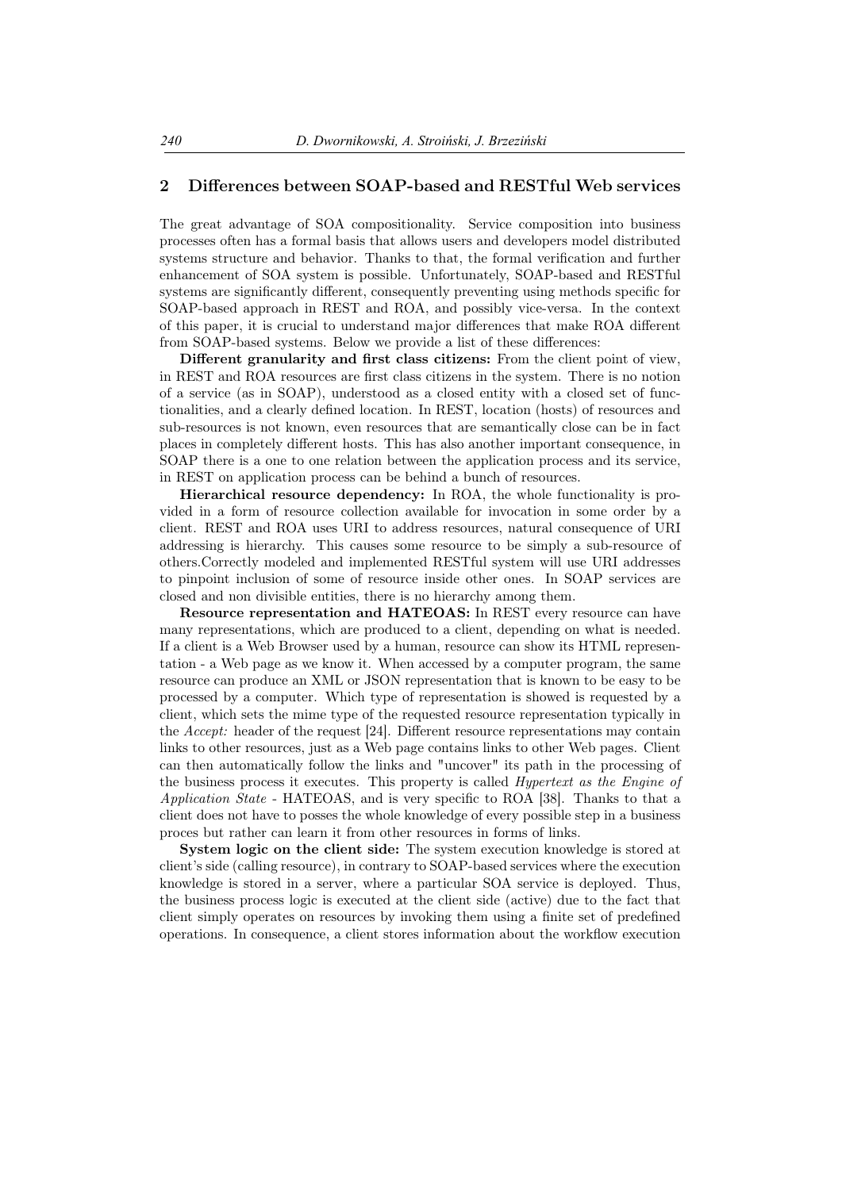## 2 Differences between SOAP-based and RESTful Web services

The great advantage of SOA compositionality. Service composition into business processes often has a formal basis that allows users and developers model distributed systems structure and behavior. Thanks to that, the formal verification and further enhancement of SOA system is possible. Unfortunately, SOAP-based and RESTful systems are significantly different, consequently preventing using methods specific for SOAP-based approach in REST and ROA, and possibly vice-versa. In the context of this paper, it is crucial to understand major differences that make ROA different from SOAP-based systems. Below we provide a list of these differences:

Different granularity and first class citizens: From the client point of view, in REST and ROA resources are first class citizens in the system. There is no notion of a service (as in SOAP), understood as a closed entity with a closed set of functionalities, and a clearly defined location. In REST, location (hosts) of resources and sub-resources is not known, even resources that are semantically close can be in fact places in completely different hosts. This has also another important consequence, in SOAP there is a one to one relation between the application process and its service, in REST on application process can be behind a bunch of resources.

Hierarchical resource dependency: In ROA, the whole functionality is provided in a form of resource collection available for invocation in some order by a client. REST and ROA uses URI to address resources, natural consequence of URI addressing is hierarchy. This causes some resource to be simply a sub-resource of others.Correctly modeled and implemented RESTful system will use URI addresses to pinpoint inclusion of some of resource inside other ones. In SOAP services are closed and non divisible entities, there is no hierarchy among them.

Resource representation and HATEOAS: In REST every resource can have many representations, which are produced to a client, depending on what is needed. If a client is a Web Browser used by a human, resource can show its HTML representation - a Web page as we know it. When accessed by a computer program, the same resource can produce an XML or JSON representation that is known to be easy to be processed by a computer. Which type of representation is showed is requested by a client, which sets the mime type of the requested resource representation typically in the *Accept:* header of the request [24]. Different resource representations may contain links to other resources, just as a Web page contains links to other Web pages. Client can then automatically follow the links and "uncover" its path in the processing of the business process it executes. This property is called *Hypertext as the Engine of Application State* - HATEOAS, and is very specific to ROA [38]. Thanks to that a client does not have to posses the whole knowledge of every possible step in a business proces but rather can learn it from other resources in forms of links.

System logic on the client side: The system execution knowledge is stored at client's side (calling resource), in contrary to SOAP-based services where the execution knowledge is stored in a server, where a particular SOA service is deployed. Thus, the business process logic is executed at the client side (active) due to the fact that client simply operates on resources by invoking them using a finite set of predefined operations. In consequence, a client stores information about the workflow execution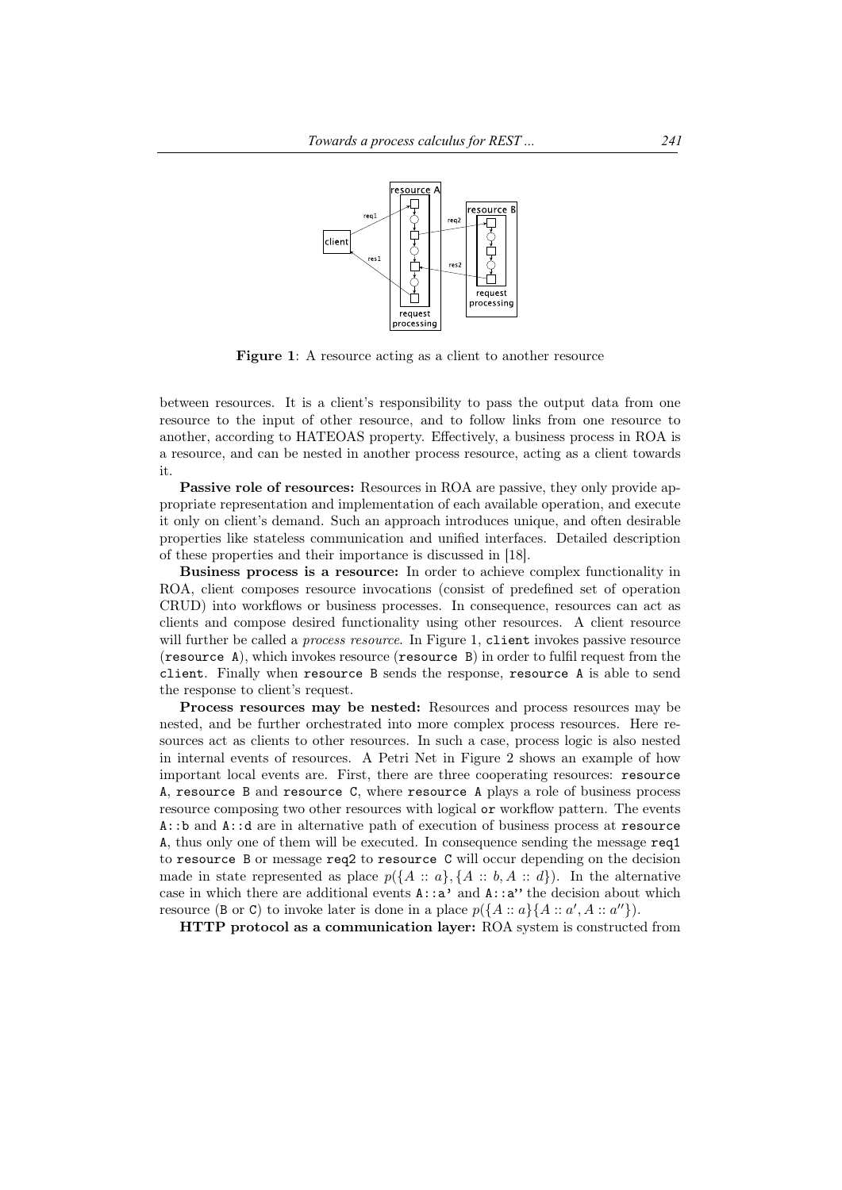

Figure 1: A resource acting as a client to another resource

between resources. It is a client's responsibility to pass the output data from one resource to the input of other resource, and to follow links from one resource to another, according to HATEOAS property. Effectively, a business process in ROA is a resource, and can be nested in another process resource, acting as a client towards it.

Passive role of resources: Resources in ROA are passive, they only provide appropriate representation and implementation of each available operation, and execute it only on client's demand. Such an approach introduces unique, and often desirable properties like stateless communication and unified interfaces. Detailed description of these properties and their importance is discussed in [18].

Business process is a resource: In order to achieve complex functionality in ROA, client composes resource invocations (consist of predefined set of operation CRUD) into workflows or business processes. In consequence, resources can act as clients and compose desired functionality using other resources. A client resource will further be called a *process resource*. In Figure 1, client invokes passive resource (resource A), which invokes resource (resource B) in order to fulfil request from the client. Finally when resource B sends the response, resource A is able to send the response to client's request.

Process resources may be nested: Resources and process resources may be nested, and be further orchestrated into more complex process resources. Here resources act as clients to other resources. In such a case, process logic is also nested in internal events of resources. A Petri Net in Figure 2 shows an example of how important local events are. First, there are three cooperating resources: resource A, resource B and resource C, where resource A plays a role of business process resource composing two other resources with logical or workflow pattern. The events A::b and A::d are in alternative path of execution of business process at resource A, thus only one of them will be executed. In consequence sending the message req1 to resource B or message req2 to resource C will occur depending on the decision made in state represented as place  $p(\lbrace A : a \rbrace, \lbrace A : b, A : d \rbrace)$ . In the alternative case in which there are additional events  $A: a'$  and  $A: a''$  the decision about which resource (B or C) to invoke later is done in a place  $p(\lbrace A : a \rbrace \lbrace A : a', A : a'' \rbrace)$ .

HTTP protocol as a communication layer: ROA system is constructed from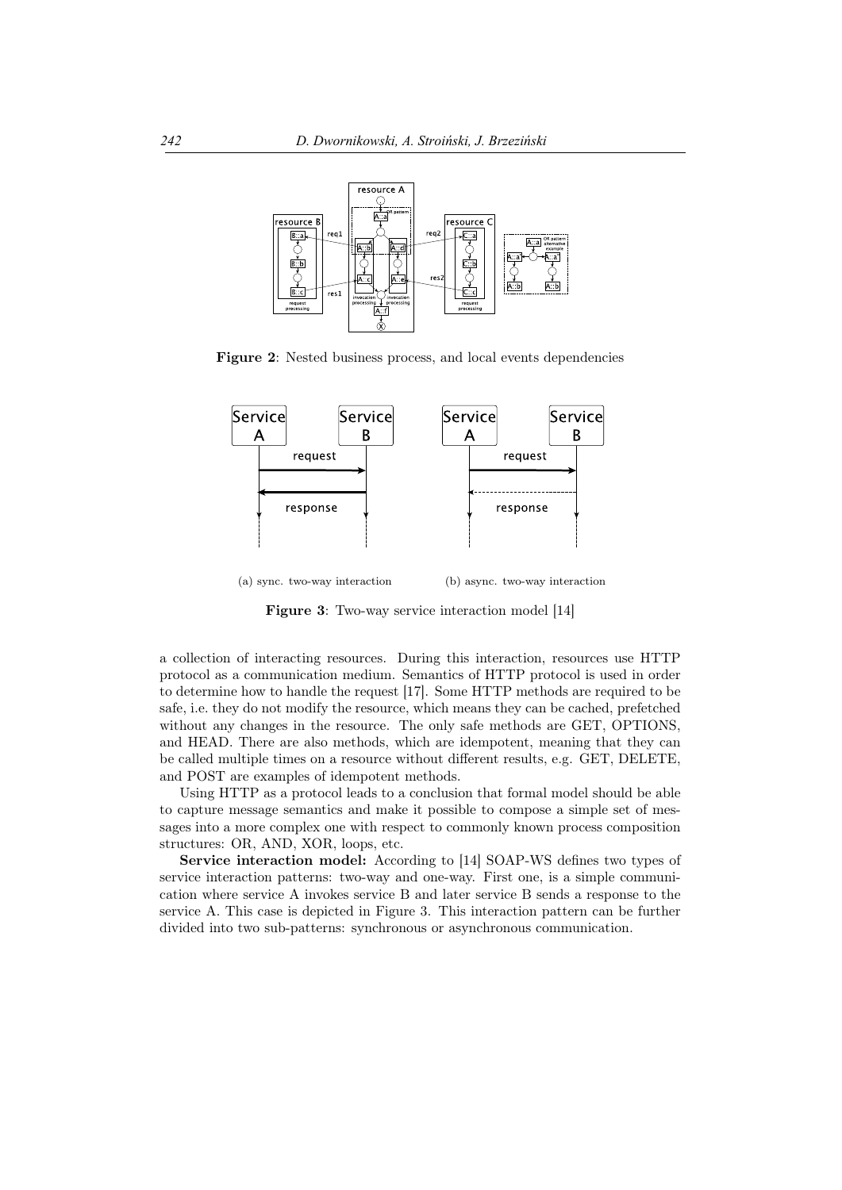

Figure 2: Nested business process, and local events dependencies



(a) sync. two-way interaction (b) async. two-way interaction

**Figure 3:** Two-way service interaction model [14]

a collection of interacting resources. During this interaction, resources use HTTP protocol as a communication medium. Semantics of HTTP protocol is used in order to determine how to handle the request [17]. Some HTTP methods are required to be safe, i.e. they do not modify the resource, which means they can be cached, prefetched without any changes in the resource. The only safe methods are GET, OPTIONS, and HEAD. There are also methods, which are idempotent, meaning that they can be called multiple times on a resource without different results, e.g. GET, DELETE, and POST are examples of idempotent methods.

Using HTTP as a protocol leads to a conclusion that formal model should be able to capture message semantics and make it possible to compose a simple set of messages into a more complex one with respect to commonly known process composition structures: OR, AND, XOR, loops, etc.

Service interaction model: According to [14] SOAP-WS defines two types of service interaction patterns: two-way and one-way. First one, is a simple communication where service A invokes service B and later service B sends a response to the service A. This case is depicted in Figure 3. This interaction pattern can be further divided into two sub-patterns: synchronous or asynchronous communication.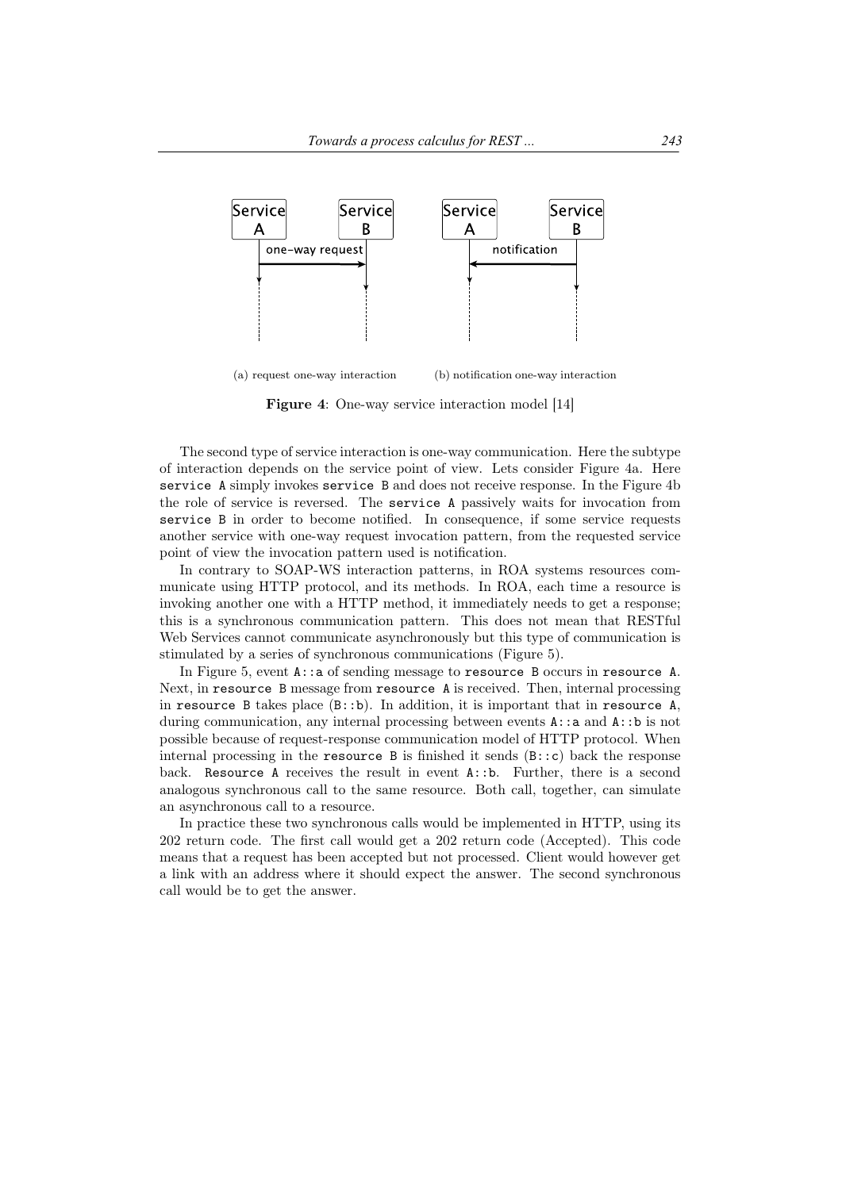

(a) request one-way interaction (b) notification one-way interaction

Figure 4: One-way service interaction model [14]

The second type of service interaction is one-way communication. Here the subtype of interaction depends on the service point of view. Lets consider Figure 4a. Here service A simply invokes service B and does not receive response. In the Figure 4b the role of service is reversed. The service A passively waits for invocation from service B in order to become notified. In consequence, if some service requests another service with one-way request invocation pattern, from the requested service point of view the invocation pattern used is notification.

In contrary to SOAP-WS interaction patterns, in ROA systems resources communicate using HTTP protocol, and its methods. In ROA, each time a resource is invoking another one with a HTTP method, it immediately needs to get a response; this is a synchronous communication pattern. This does not mean that RESTful Web Services cannot communicate asynchronously but this type of communication is stimulated by a series of synchronous communications (Figure 5).

In Figure 5, event A::a of sending message to resource B occurs in resource A. Next, in resource B message from resource A is received. Then, internal processing in resource B takes place  $(B: b)$ . In addition, it is important that in resource A, during communication, any internal processing between events  $A: a$  and  $A: b$  is not possible because of request-response communication model of HTTP protocol. When internal processing in the resource B is finished it sends  $(B::c)$  back the response back. Resource A receives the result in event A::b. Further, there is a second analogous synchronous call to the same resource. Both call, together, can simulate an asynchronous call to a resource.

In practice these two synchronous calls would be implemented in HTTP, using its 202 return code. The first call would get a 202 return code (Accepted). This code means that a request has been accepted but not processed. Client would however get a link with an address where it should expect the answer. The second synchronous call would be to get the answer.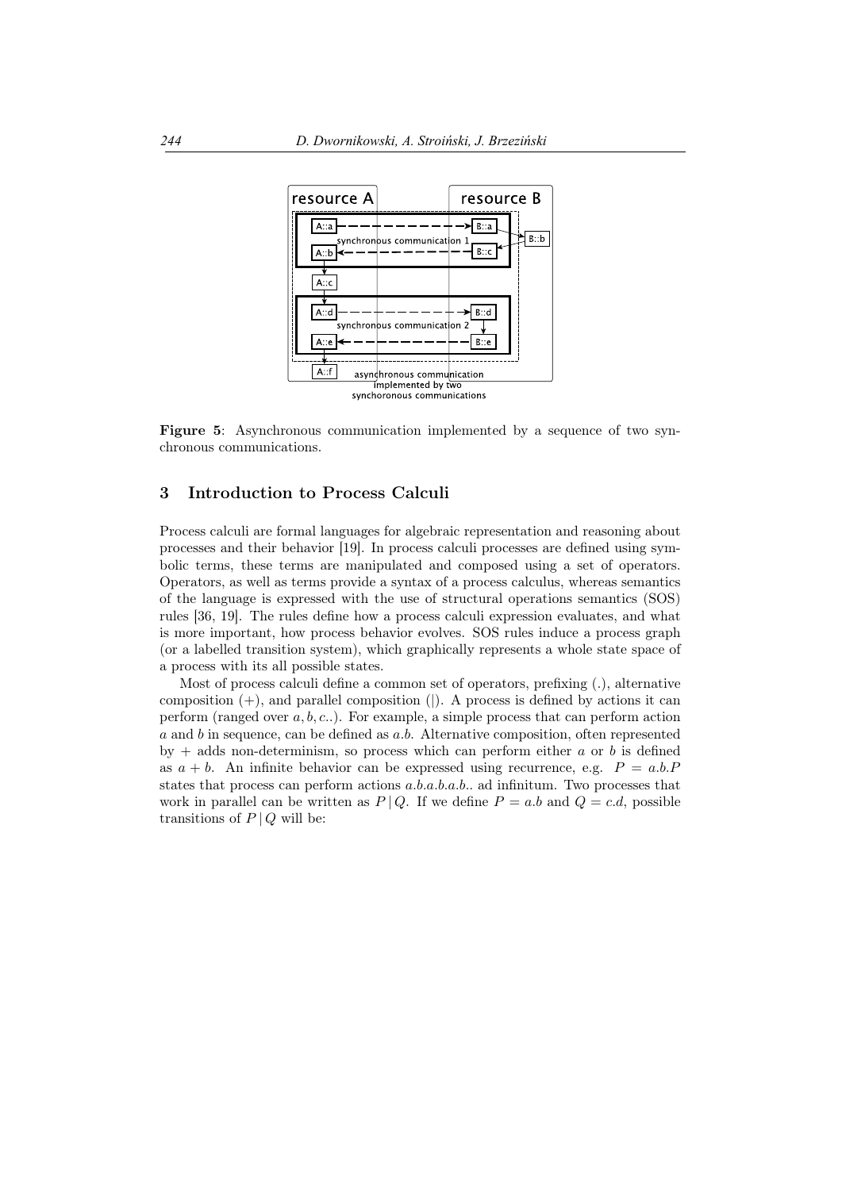

Figure 5: Asynchronous communication implemented by a sequence of two synchronous communications.

## 3 Introduction to Process Calculi

Process calculi are formal languages for algebraic representation and reasoning about processes and their behavior [19]. In process calculi processes are defined using symbolic terms, these terms are manipulated and composed using a set of operators. Operators, as well as terms provide a syntax of a process calculus, whereas semantics of the language is expressed with the use of structural operations semantics (SOS) rules [36, 19]. The rules define how a process calculi expression evaluates, and what is more important, how process behavior evolves. SOS rules induce a process graph (or a labelled transition system), which graphically represents a whole state space of a process with its all possible states.

Most of process calculi define a common set of operators, prefixing (*.*), alternative composition (+), and parallel composition (*|*). A process is defined by actions it can perform (ranged over *a, b, c..*). For example, a simple process that can perform action *a* and *b* in sequence, can be defined as *a.b*. Alternative composition, often represented by + adds non-determinism, so process which can perform either *a* or *b* is defined as  $a + b$ . An infinite behavior can be expressed using recurrence, e.g.  $P = a.b.P$ states that process can perform actions *a.b.a.b.a.b..* ad infinitum. Two processes that work in parallel can be written as  $P \mid Q$ . If we define  $P = a.b$  and  $Q = c.d$ , possible transitions of  $P \mid Q$  will be: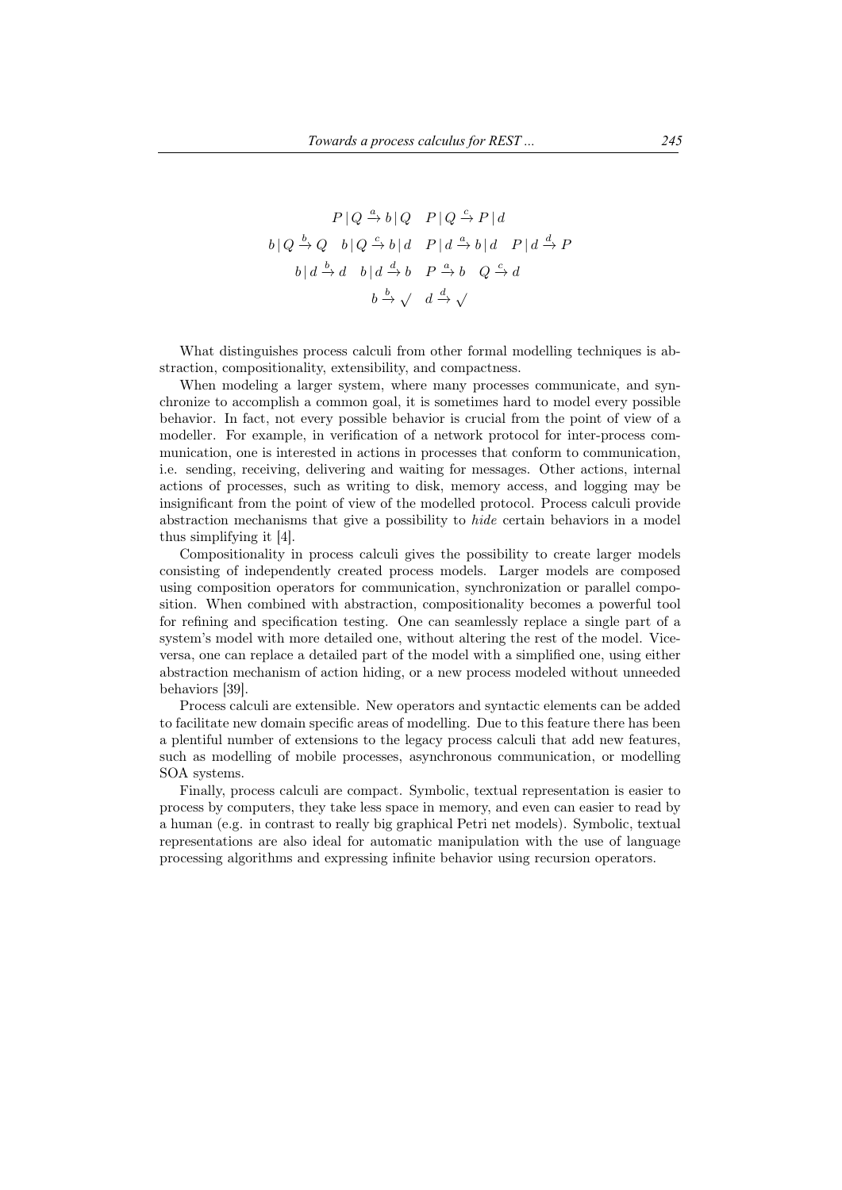$$
P | Q \xrightarrow{a} b | Q \quad P | Q \xrightarrow{c} P | d
$$
  

$$
b | Q \xrightarrow{b} Q \quad b | Q \xrightarrow{c} b | d \quad P | d \xrightarrow{a} b | d \quad P | d \xrightarrow{d} P
$$
  

$$
b | d \xrightarrow{b} d \quad b | d \xrightarrow{d} b \quad P \xrightarrow{a} b \quad Q \xrightarrow{c} d
$$
  

$$
b \xrightarrow{b} \sqrt{d} \xrightarrow{d} \sqrt{}
$$

What distinguishes process calculi from other formal modelling techniques is abstraction, compositionality, extensibility, and compactness.

When modeling a larger system, where many processes communicate, and synchronize to accomplish a common goal, it is sometimes hard to model every possible behavior. In fact, not every possible behavior is crucial from the point of view of a modeller. For example, in verification of a network protocol for inter-process communication, one is interested in actions in processes that conform to communication, i.e. sending, receiving, delivering and waiting for messages. Other actions, internal actions of processes, such as writing to disk, memory access, and logging may be insignificant from the point of view of the modelled protocol. Process calculi provide abstraction mechanisms that give a possibility to *hide* certain behaviors in a model thus simplifying it [4].

Compositionality in process calculi gives the possibility to create larger models consisting of independently created process models. Larger models are composed using composition operators for communication, synchronization or parallel composition. When combined with abstraction, compositionality becomes a powerful tool for refining and specification testing. One can seamlessly replace a single part of a system's model with more detailed one, without altering the rest of the model. Viceversa, one can replace a detailed part of the model with a simplified one, using either abstraction mechanism of action hiding, or a new process modeled without unneeded behaviors [39].

Process calculi are extensible. New operators and syntactic elements can be added to facilitate new domain specific areas of modelling. Due to this feature there has been a plentiful number of extensions to the legacy process calculi that add new features, such as modelling of mobile processes, asynchronous communication, or modelling SOA systems.

Finally, process calculi are compact. Symbolic, textual representation is easier to process by computers, they take less space in memory, and even can easier to read by a human (e.g. in contrast to really big graphical Petri net models). Symbolic, textual representations are also ideal for automatic manipulation with the use of language processing algorithms and expressing infinite behavior using recursion operators.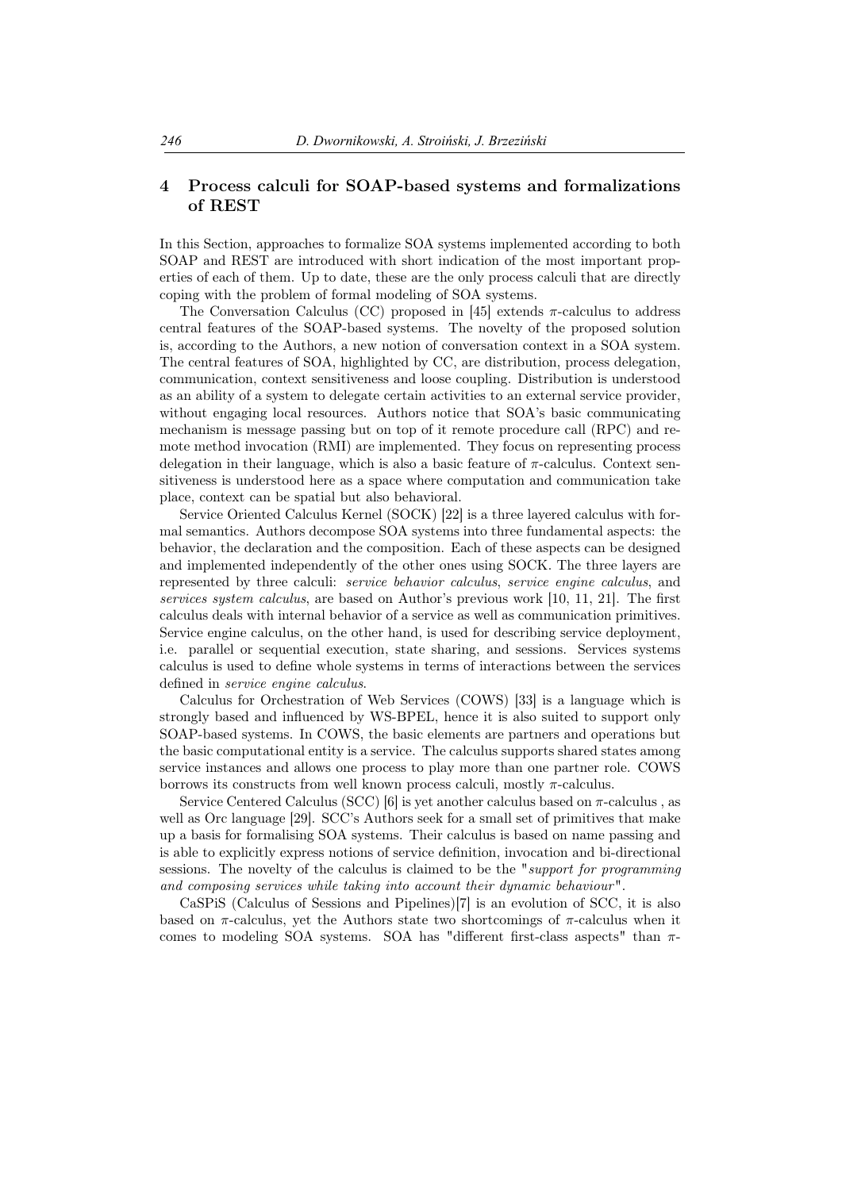## 4 Process calculi for SOAP-based systems and formalizations of REST

In this Section, approaches to formalize SOA systems implemented according to both SOAP and REST are introduced with short indication of the most important properties of each of them. Up to date, these are the only process calculi that are directly coping with the problem of formal modeling of SOA systems.

The Conversation Calculus (CC) proposed in [45] extends *π*-calculus to address central features of the SOAP-based systems. The novelty of the proposed solution is, according to the Authors, a new notion of conversation context in a SOA system. The central features of SOA, highlighted by CC, are distribution, process delegation, communication, context sensitiveness and loose coupling. Distribution is understood as an ability of a system to delegate certain activities to an external service provider, without engaging local resources. Authors notice that SOA's basic communicating mechanism is message passing but on top of it remote procedure call (RPC) and remote method invocation (RMI) are implemented. They focus on representing process delegation in their language, which is also a basic feature of *π*-calculus. Context sensitiveness is understood here as a space where computation and communication take place, context can be spatial but also behavioral.

Service Oriented Calculus Kernel (SOCK) [22] is a three layered calculus with formal semantics. Authors decompose SOA systems into three fundamental aspects: the behavior, the declaration and the composition. Each of these aspects can be designed and implemented independently of the other ones using SOCK. The three layers are represented by three calculi: *service behavior calculus*, *service engine calculus*, and *services system calculus*, are based on Author's previous work [10, 11, 21]. The first calculus deals with internal behavior of a service as well as communication primitives. Service engine calculus, on the other hand, is used for describing service deployment, i.e. parallel or sequential execution, state sharing, and sessions. Services systems calculus is used to define whole systems in terms of interactions between the services defined in *service engine calculus*.

Calculus for Orchestration of Web Services (COWS) [33] is a language which is strongly based and influenced by WS-BPEL, hence it is also suited to support only SOAP-based systems. In COWS, the basic elements are partners and operations but the basic computational entity is a service. The calculus supports shared states among service instances and allows one process to play more than one partner role. COWS borrows its constructs from well known process calculi, mostly *π*-calculus.

Service Centered Calculus (SCC) [6] is yet another calculus based on *π*-calculus , as well as Orc language [29]. SCC's Authors seek for a small set of primitives that make up a basis for formalising SOA systems. Their calculus is based on name passing and is able to explicitly express notions of service definition, invocation and bi-directional sessions. The novelty of the calculus is claimed to be the "*support for programming and composing services while taking into account their dynamic behaviour* ".

CaSPiS (Calculus of Sessions and Pipelines)[7] is an evolution of SCC, it is also based on *π*-calculus, yet the Authors state two shortcomings of *π*-calculus when it comes to modeling SOA systems. SOA has "different first-class aspects" than *π*-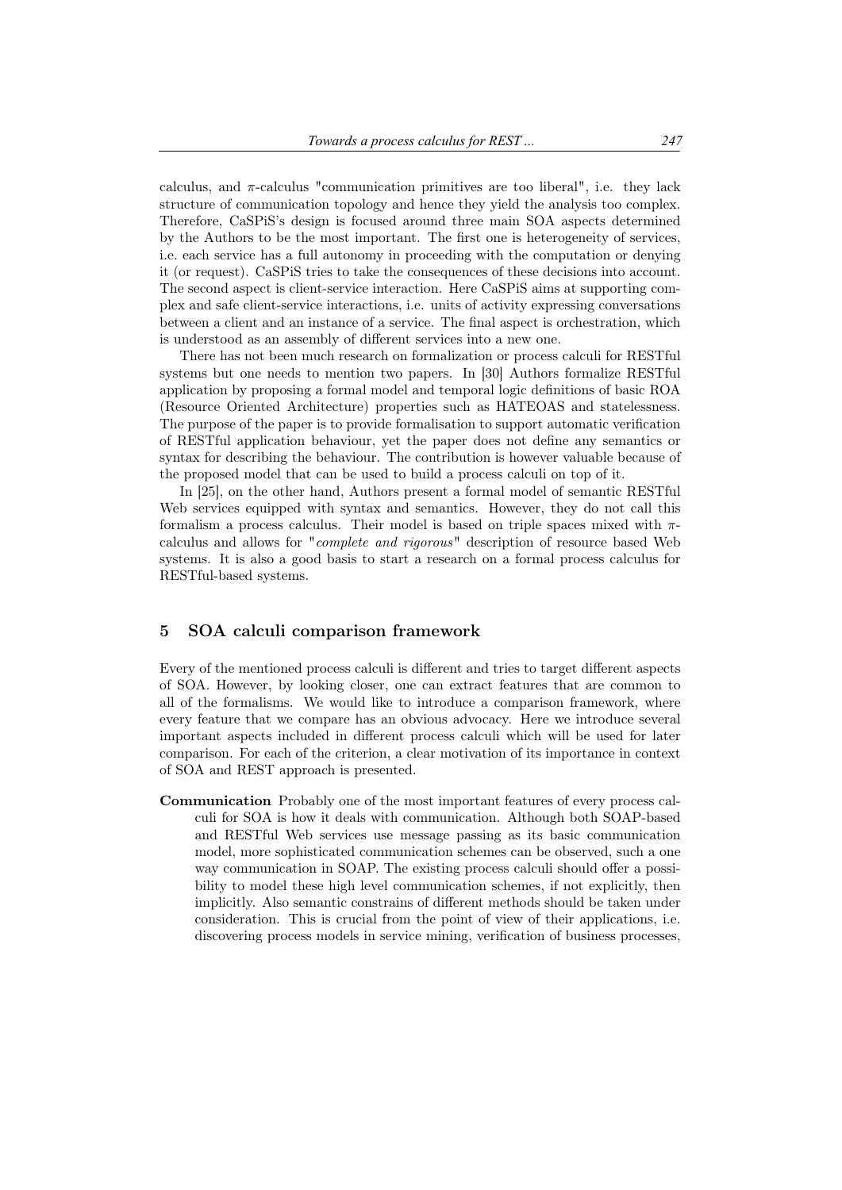calculus, and  $\pi$ -calculus "communication primitives are too liberal", i.e. they lack structure of communication topology and hence they yield the analysis too complex. Therefore, CaSPiS's design is focused around three main SOA aspects determined by the Authors to be the most important. The first one is heterogeneity of services, i.e. each service has a full autonomy in proceeding with the computation or denying it (or request). CaSPiS tries to take the consequences of these decisions into account. The second aspect is client-service interaction. Here CaSPiS aims at supporting complex and safe client-service interactions, i.e. units of activity expressing conversations between a client and an instance of a service. The final aspect is orchestration, which is understood as an assembly of different services into a new one.

There has not been much research on formalization or process calculi for RESTful systems but one needs to mention two papers. In [30] Authors formalize RESTful application by proposing a formal model and temporal logic definitions of basic ROA (Resource Oriented Architecture) properties such as HATEOAS and statelessness. The purpose of the paper is to provide formalisation to support automatic verification of RESTful application behaviour, yet the paper does not define any semantics or syntax for describing the behaviour. The contribution is however valuable because of the proposed model that can be used to build a process calculi on top of it.

In [25], on the other hand, Authors present a formal model of semantic RESTful Web services equipped with syntax and semantics. However, they do not call this formalism a process calculus. Their model is based on triple spaces mixed with *π*calculus and allows for "*complete and rigorous*" description of resource based Web systems. It is also a good basis to start a research on a formal process calculus for RESTful-based systems.

## 5 SOA calculi comparison framework

Every of the mentioned process calculi is different and tries to target different aspects of SOA. However, by looking closer, one can extract features that are common to all of the formalisms. We would like to introduce a comparison framework, where every feature that we compare has an obvious advocacy. Here we introduce several important aspects included in different process calculi which will be used for later comparison. For each of the criterion, a clear motivation of its importance in context of SOA and REST approach is presented.

Communication Probably one of the most important features of every process calculi for SOA is how it deals with communication. Although both SOAP-based and RESTful Web services use message passing as its basic communication model, more sophisticated communication schemes can be observed, such a one way communication in SOAP. The existing process calculi should offer a possibility to model these high level communication schemes, if not explicitly, then implicitly. Also semantic constrains of different methods should be taken under consideration. This is crucial from the point of view of their applications, i.e. discovering process models in service mining, verification of business processes,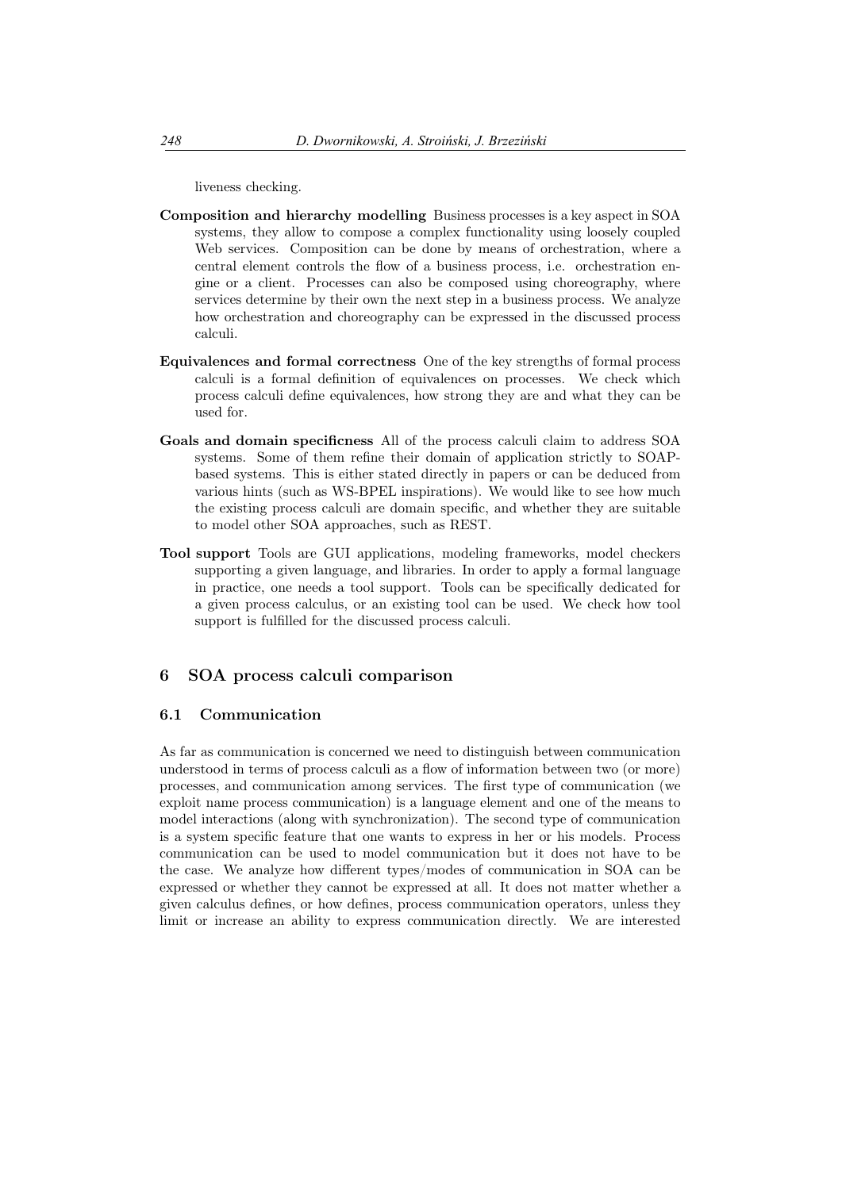liveness checking.

- Composition and hierarchy modelling Business processes is a key aspect in SOA systems, they allow to compose a complex functionality using loosely coupled Web services. Composition can be done by means of orchestration, where a central element controls the flow of a business process, i.e. orchestration engine or a client. Processes can also be composed using choreography, where services determine by their own the next step in a business process. We analyze how orchestration and choreography can be expressed in the discussed process calculi.
- Equivalences and formal correctness One of the key strengths of formal process calculi is a formal definition of equivalences on processes. We check which process calculi define equivalences, how strong they are and what they can be used for.
- Goals and domain specificness All of the process calculi claim to address SOA systems. Some of them refine their domain of application strictly to SOAPbased systems. This is either stated directly in papers or can be deduced from various hints (such as WS-BPEL inspirations). We would like to see how much the existing process calculi are domain specific, and whether they are suitable to model other SOA approaches, such as REST.
- Tool support Tools are GUI applications, modeling frameworks, model checkers supporting a given language, and libraries. In order to apply a formal language in practice, one needs a tool support. Tools can be specifically dedicated for a given process calculus, or an existing tool can be used. We check how tool support is fulfilled for the discussed process calculi.

## 6 SOA process calculi comparison

## 6.1 Communication

As far as communication is concerned we need to distinguish between communication understood in terms of process calculi as a flow of information between two (or more) processes, and communication among services. The first type of communication (we exploit name process communication) is a language element and one of the means to model interactions (along with synchronization). The second type of communication is a system specific feature that one wants to express in her or his models. Process communication can be used to model communication but it does not have to be the case. We analyze how different types/modes of communication in SOA can be expressed or whether they cannot be expressed at all. It does not matter whether a given calculus defines, or how defines, process communication operators, unless they limit or increase an ability to express communication directly. We are interested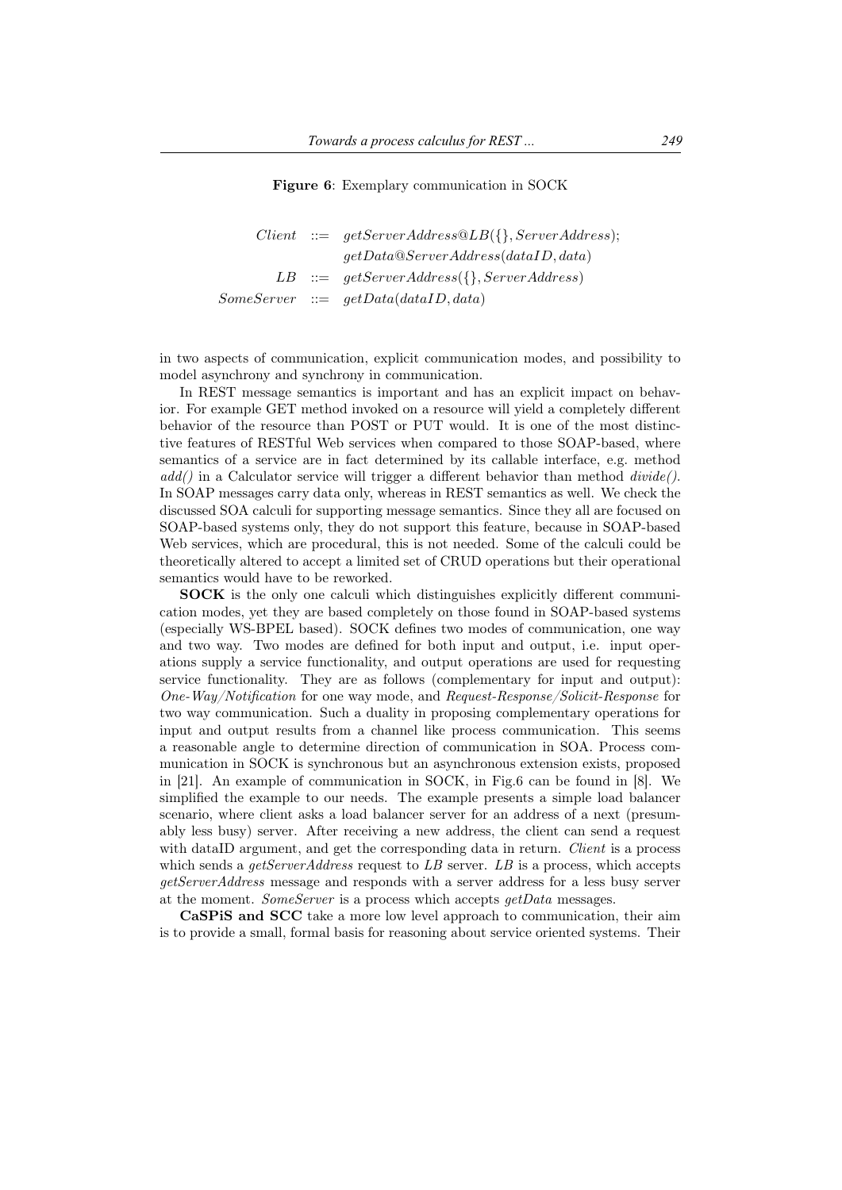Figure 6: Exemplary communication in SOCK

|  | $Client ::= getServerAddress@LB({}, ServerAddress);$ |
|--|------------------------------------------------------|
|  | getData@ServerAddress(dataID, data)                  |
|  | $LB \ ::= \ getServerAddress({}, ServerAddress)$     |
|  | $SomeServer ::= getData(dataID, data)$               |

in two aspects of communication, explicit communication modes, and possibility to model asynchrony and synchrony in communication.

In REST message semantics is important and has an explicit impact on behavior. For example GET method invoked on a resource will yield a completely different behavior of the resource than POST or PUT would. It is one of the most distinctive features of RESTful Web services when compared to those SOAP-based, where semantics of a service are in fact determined by its callable interface, e.g. method *add()* in a Calculator service will trigger a different behavior than method *divide()*. In SOAP messages carry data only, whereas in REST semantics as well. We check the discussed SOA calculi for supporting message semantics. Since they all are focused on SOAP-based systems only, they do not support this feature, because in SOAP-based Web services, which are procedural, this is not needed. Some of the calculi could be theoretically altered to accept a limited set of CRUD operations but their operational semantics would have to be reworked.

SOCK is the only one calculi which distinguishes explicitly different communication modes, yet they are based completely on those found in SOAP-based systems (especially WS-BPEL based). SOCK defines two modes of communication, one way and two way. Two modes are defined for both input and output, i.e. input operations supply a service functionality, and output operations are used for requesting service functionality. They are as follows (complementary for input and output): *One-Way/Notification* for one way mode, and *Request-Response/Solicit-Response* for two way communication. Such a duality in proposing complementary operations for input and output results from a channel like process communication. This seems a reasonable angle to determine direction of communication in SOA. Process communication in SOCK is synchronous but an asynchronous extension exists, proposed in [21]. An example of communication in SOCK, in Fig.6 can be found in [8]. We simplified the example to our needs. The example presents a simple load balancer scenario, where client asks a load balancer server for an address of a next (presumably less busy) server. After receiving a new address, the client can send a request with dataID argument, and get the corresponding data in return. *Client* is a process which sends a *getServerAddress* request to *LB* server. *LB* is a process, which accepts *getServerAddress* message and responds with a server address for a less busy server at the moment. *SomeServer* is a process which accepts *getData* messages.

CaSPiS and SCC take a more low level approach to communication, their aim is to provide a small, formal basis for reasoning about service oriented systems. Their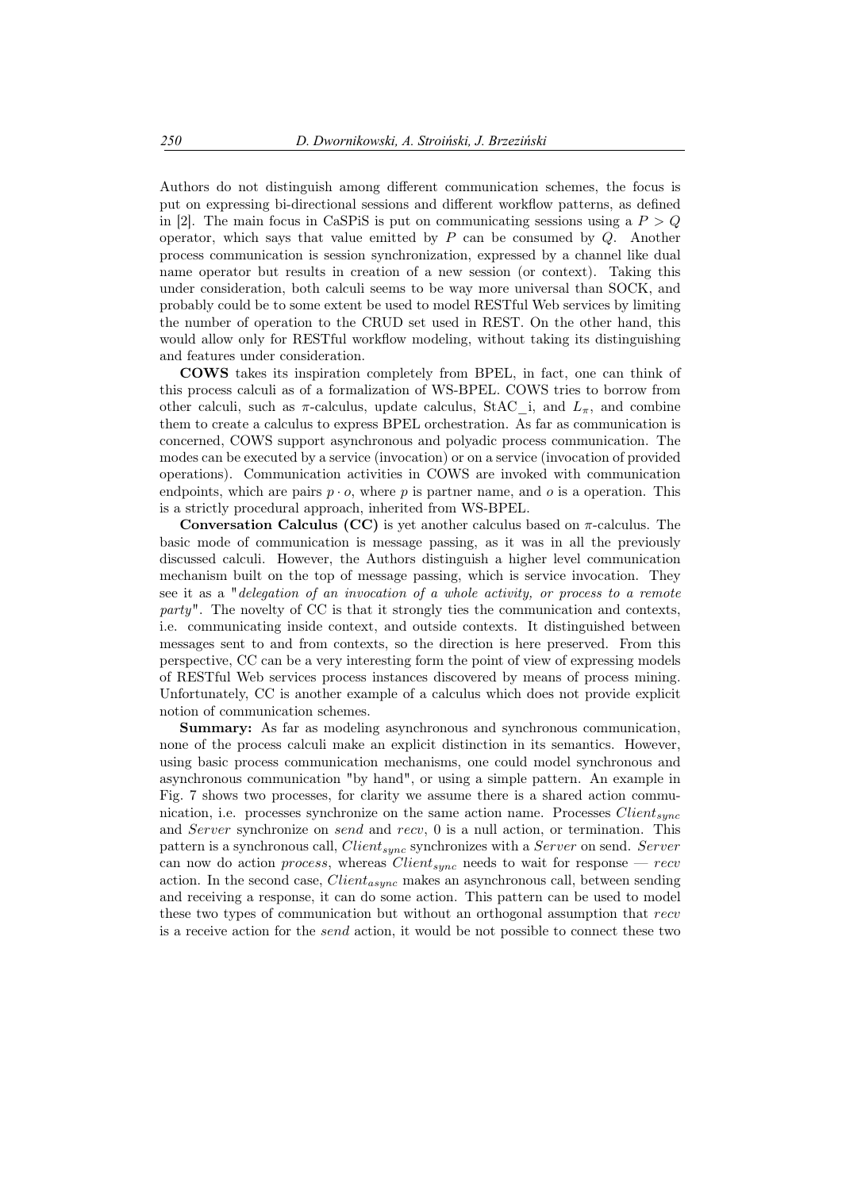Authors do not distinguish among different communication schemes, the focus is put on expressing bi-directional sessions and different workflow patterns, as defined in [2]. The main focus in CaSPiS is put on communicating sessions using a *P > Q* operator, which says that value emitted by *P* can be consumed by *Q*. Another process communication is session synchronization, expressed by a channel like dual name operator but results in creation of a new session (or context). Taking this under consideration, both calculi seems to be way more universal than SOCK, and probably could be to some extent be used to model RESTful Web services by limiting the number of operation to the CRUD set used in REST. On the other hand, this would allow only for RESTful workflow modeling, without taking its distinguishing and features under consideration.

COWS takes its inspiration completely from BPEL, in fact, one can think of this process calculi as of a formalization of WS-BPEL. COWS tries to borrow from other calculi, such as  $\pi$ -calculus, update calculus, StAC i, and  $L_{\pi}$ , and combine them to create a calculus to express BPEL orchestration. As far as communication is concerned, COWS support asynchronous and polyadic process communication. The modes can be executed by a service (invocation) or on a service (invocation of provided operations). Communication activities in COWS are invoked with communication endpoints, which are pairs  $p \cdot o$ , where p is partner name, and  $o$  is a operation. This is a strictly procedural approach, inherited from WS-BPEL.

Conversation Calculus (CC) is yet another calculus based on *π*-calculus. The basic mode of communication is message passing, as it was in all the previously discussed calculi. However, the Authors distinguish a higher level communication mechanism built on the top of message passing, which is service invocation. They see it as a "*delegation of an invocation of a whole activity, or process to a remote party*". The novelty of CC is that it strongly ties the communication and contexts, i.e. communicating inside context, and outside contexts. It distinguished between messages sent to and from contexts, so the direction is here preserved. From this perspective, CC can be a very interesting form the point of view of expressing models of RESTful Web services process instances discovered by means of process mining. Unfortunately, CC is another example of a calculus which does not provide explicit notion of communication schemes.

Summary: As far as modeling asynchronous and synchronous communication, none of the process calculi make an explicit distinction in its semantics. However, using basic process communication mechanisms, one could model synchronous and asynchronous communication "by hand", or using a simple pattern. An example in Fig. 7 shows two processes, for clarity we assume there is a shared action communication, i.e. processes synchronize on the same action name. Processes *Clientsync* and *Server* synchronize on *send* and *recv*, 0 is a null action, or termination. This pattern is a synchronous call, *Clientsync* synchronizes with a *Server* on send. *Server* can now do action *process*, whereas *Clientsync* needs to wait for response — *recv* action. In the second case, *Clientasync* makes an asynchronous call, between sending and receiving a response, it can do some action. This pattern can be used to model these two types of communication but without an orthogonal assumption that *recv* is a receive action for the *send* action, it would be not possible to connect these two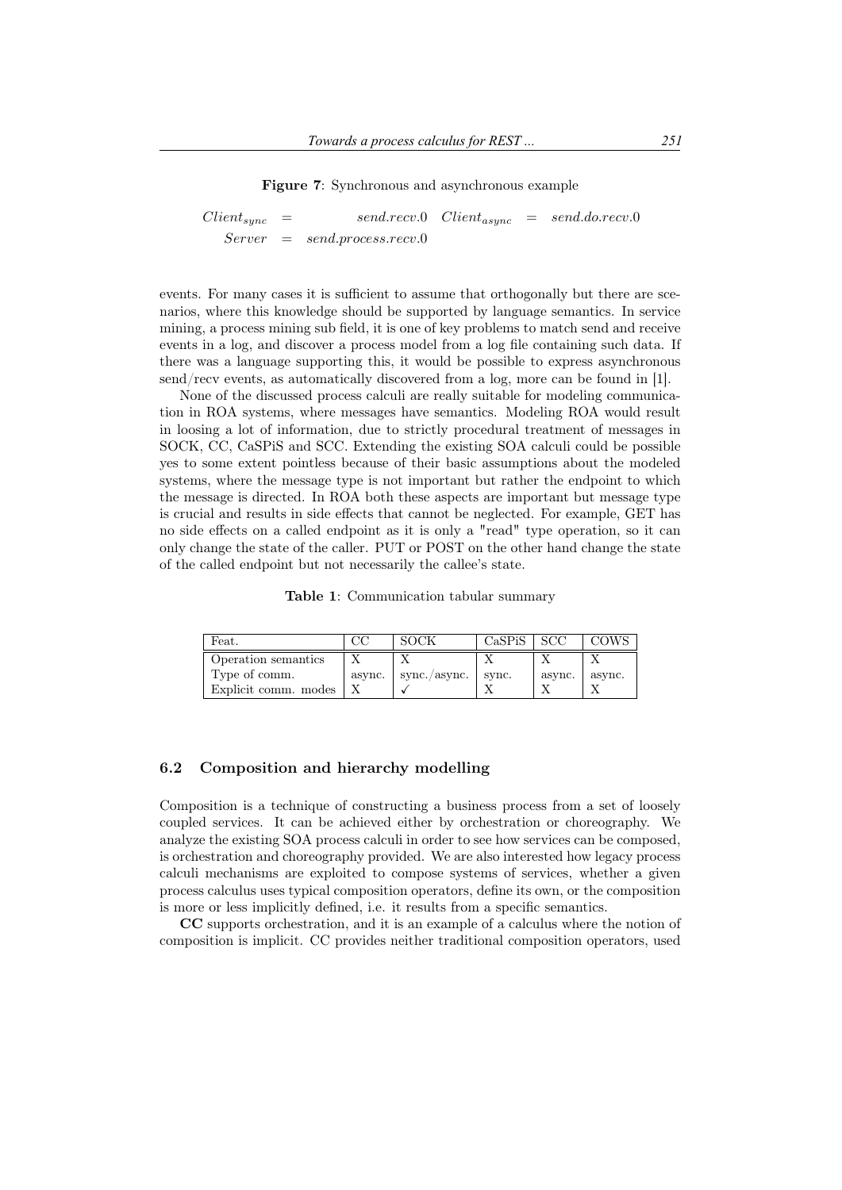Figure 7: Synchronous and asynchronous example

$$
Clientsync = send.recv.0 Clientasync = send.doc.recv.0
$$
  
Server = send-process.recv.0

events. For many cases it is sufficient to assume that orthogonally but there are scenarios, where this knowledge should be supported by language semantics. In service mining, a process mining sub field, it is one of key problems to match send and receive events in a log, and discover a process model from a log file containing such data. If there was a language supporting this, it would be possible to express asynchronous send/recv events, as automatically discovered from a log, more can be found in [1].

None of the discussed process calculi are really suitable for modeling communication in ROA systems, where messages have semantics. Modeling ROA would result in loosing a lot of information, due to strictly procedural treatment of messages in SOCK, CC, CaSPiS and SCC. Extending the existing SOA calculi could be possible yes to some extent pointless because of their basic assumptions about the modeled systems, where the message type is not important but rather the endpoint to which the message is directed. In ROA both these aspects are important but message type is crucial and results in side effects that cannot be neglected. For example, GET has no side effects on a called endpoint as it is only a "read" type operation, so it can only change the state of the caller. PUT or POST on the other hand change the state of the called endpoint but not necessarily the callee's state.

Table 1: Communication tabular summary

| Feat.                |        | SOCK         | CaSPiS | -SCC   | COWS   |
|----------------------|--------|--------------|--------|--------|--------|
| Operation semantics  |        |              |        |        |        |
| Type of comm.        | async. | sync./async. | svnc.  | async. | async. |
| Explicit comm. modes |        |              |        |        |        |

#### 6.2 Composition and hierarchy modelling

Composition is a technique of constructing a business process from a set of loosely coupled services. It can be achieved either by orchestration or choreography. We analyze the existing SOA process calculi in order to see how services can be composed, is orchestration and choreography provided. We are also interested how legacy process calculi mechanisms are exploited to compose systems of services, whether a given process calculus uses typical composition operators, define its own, or the composition is more or less implicitly defined, i.e. it results from a specific semantics.

CC supports orchestration, and it is an example of a calculus where the notion of composition is implicit. CC provides neither traditional composition operators, used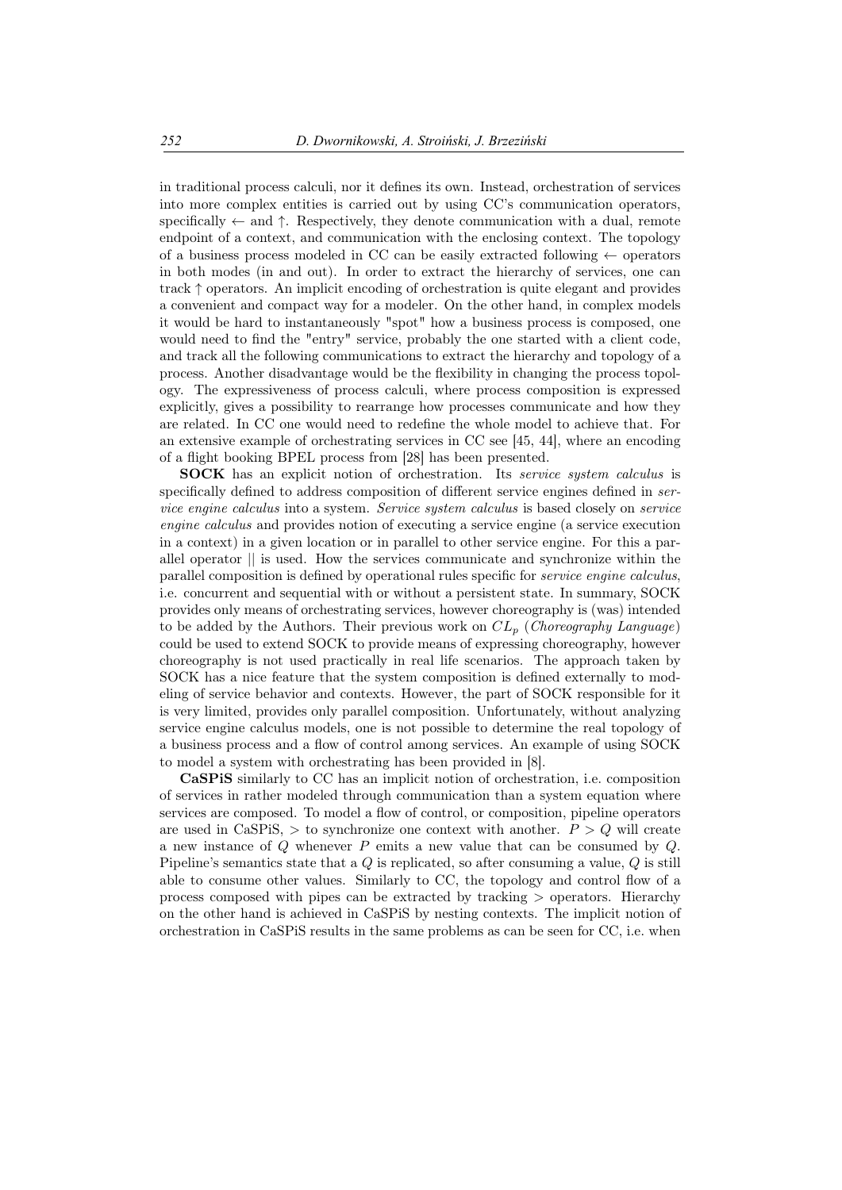in traditional process calculi, nor it defines its own. Instead, orchestration of services into more complex entities is carried out by using CC's communication operators, specifically *←* and *↑*. Respectively, they denote communication with a dual, remote endpoint of a context, and communication with the enclosing context. The topology of a business process modeled in CC can be easily extracted following *←* operators in both modes (in and out). In order to extract the hierarchy of services, one can track *↑* operators. An implicit encoding of orchestration is quite elegant and provides a convenient and compact way for a modeler. On the other hand, in complex models it would be hard to instantaneously "spot" how a business process is composed, one would need to find the "entry" service, probably the one started with a client code, and track all the following communications to extract the hierarchy and topology of a process. Another disadvantage would be the flexibility in changing the process topology. The expressiveness of process calculi, where process composition is expressed explicitly, gives a possibility to rearrange how processes communicate and how they are related. In CC one would need to redefine the whole model to achieve that. For an extensive example of orchestrating services in CC see [45, 44], where an encoding of a flight booking BPEL process from [28] has been presented.

SOCK has an explicit notion of orchestration. Its *service system calculus* is specifically defined to address composition of different service engines defined in *service engine calculus* into a system. *Service system calculus* is based closely on *service engine calculus* and provides notion of executing a service engine (a service execution in a context) in a given location or in parallel to other service engine. For this a parallel operator *||* is used. How the services communicate and synchronize within the parallel composition is defined by operational rules specific for *service engine calculus*, i.e. concurrent and sequential with or without a persistent state. In summary, SOCK provides only means of orchestrating services, however choreography is (was) intended to be added by the Authors. Their previous work on *CL<sup>p</sup>* (*Choreography Language*) could be used to extend SOCK to provide means of expressing choreography, however choreography is not used practically in real life scenarios. The approach taken by SOCK has a nice feature that the system composition is defined externally to modeling of service behavior and contexts. However, the part of SOCK responsible for it is very limited, provides only parallel composition. Unfortunately, without analyzing service engine calculus models, one is not possible to determine the real topology of a business process and a flow of control among services. An example of using SOCK to model a system with orchestrating has been provided in [8].

CaSPiS similarly to CC has an implicit notion of orchestration, i.e. composition of services in rather modeled through communication than a system equation where services are composed. To model a flow of control, or composition, pipeline operators are used in CaSPiS,  $>$  to synchronize one context with another.  $P > Q$  will create a new instance of *Q* whenever *P* emits a new value that can be consumed by *Q*. Pipeline's semantics state that a *Q* is replicated, so after consuming a value, *Q* is still able to consume other values. Similarly to CC, the topology and control flow of a process composed with pipes can be extracted by tracking *>* operators. Hierarchy on the other hand is achieved in CaSPiS by nesting contexts. The implicit notion of orchestration in CaSPiS results in the same problems as can be seen for CC, i.e. when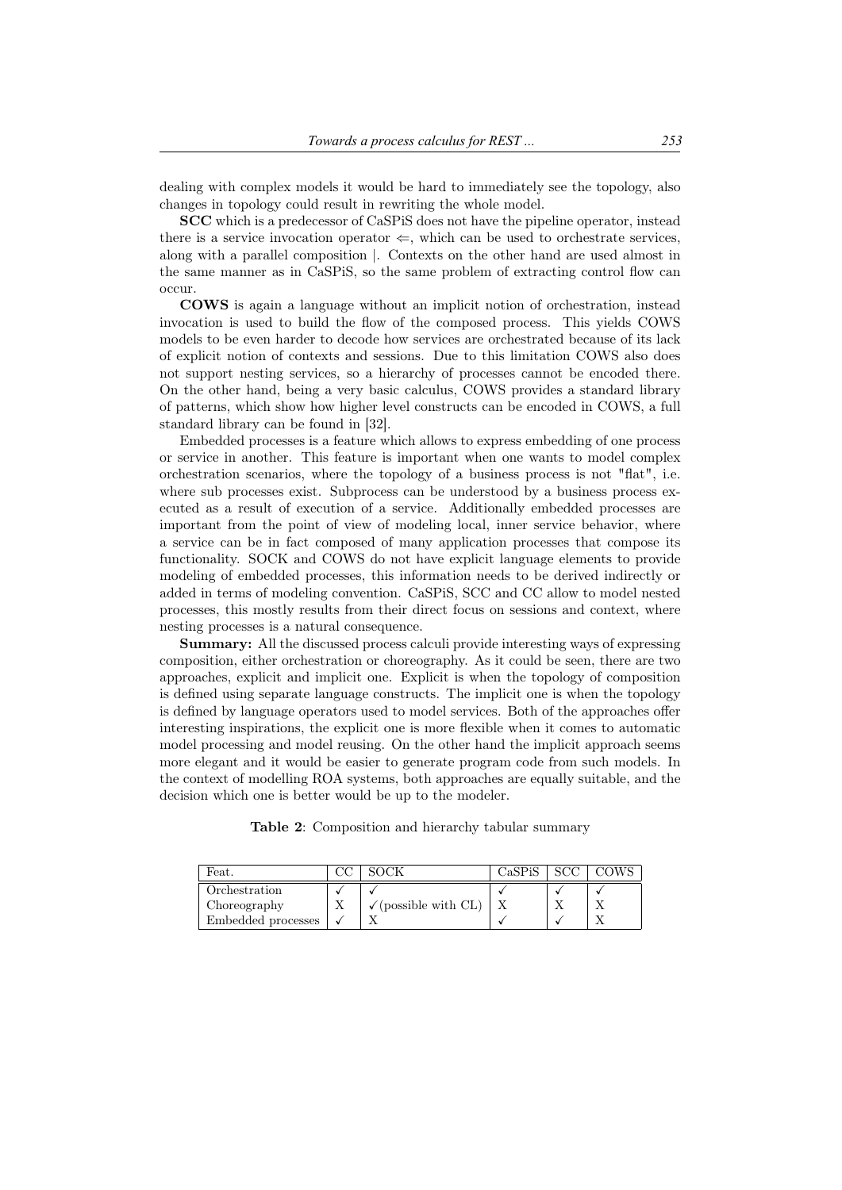dealing with complex models it would be hard to immediately see the topology, also changes in topology could result in rewriting the whole model.

SCC which is a predecessor of CaSPiS does not have the pipeline operator, instead there is a service invocation operator  $\Leftarrow$ , which can be used to orchestrate services, along with a parallel composition *|*. Contexts on the other hand are used almost in the same manner as in CaSPiS, so the same problem of extracting control flow can occur.

COWS is again a language without an implicit notion of orchestration, instead invocation is used to build the flow of the composed process. This yields COWS models to be even harder to decode how services are orchestrated because of its lack of explicit notion of contexts and sessions. Due to this limitation COWS also does not support nesting services, so a hierarchy of processes cannot be encoded there. On the other hand, being a very basic calculus, COWS provides a standard library of patterns, which show how higher level constructs can be encoded in COWS, a full standard library can be found in [32].

Embedded processes is a feature which allows to express embedding of one process or service in another. This feature is important when one wants to model complex orchestration scenarios, where the topology of a business process is not "flat", i.e. where sub processes exist. Subprocess can be understood by a business process executed as a result of execution of a service. Additionally embedded processes are important from the point of view of modeling local, inner service behavior, where a service can be in fact composed of many application processes that compose its functionality. SOCK and COWS do not have explicit language elements to provide modeling of embedded processes, this information needs to be derived indirectly or added in terms of modeling convention. CaSPiS, SCC and CC allow to model nested processes, this mostly results from their direct focus on sessions and context, where nesting processes is a natural consequence.

Summary: All the discussed process calculi provide interesting ways of expressing composition, either orchestration or choreography. As it could be seen, there are two approaches, explicit and implicit one. Explicit is when the topology of composition is defined using separate language constructs. The implicit one is when the topology is defined by language operators used to model services. Both of the approaches offer interesting inspirations, the explicit one is more flexible when it comes to automatic model processing and model reusing. On the other hand the implicit approach seems more elegant and it would be easier to generate program code from such models. In the context of modelling ROA systems, both approaches are equally suitable, and the decision which one is better would be up to the modeler.

Table 2: Composition and hierarchy tabular summary

| Feat.              | SOCK                               | CaSPiS |  |
|--------------------|------------------------------------|--------|--|
| Orchestration      |                                    |        |  |
| Choreography       | $\sqrt{\text{(possible with CL)}}$ |        |  |
| Embedded processes |                                    |        |  |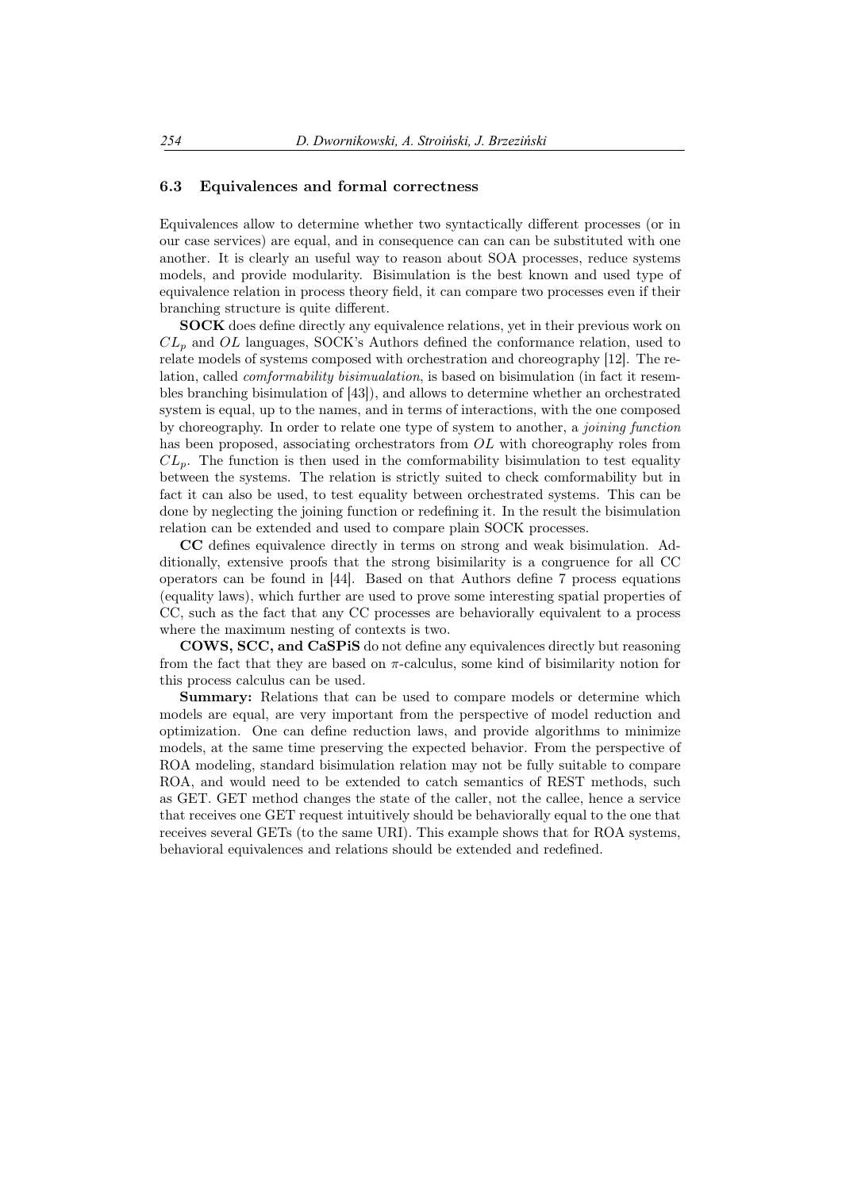#### 6.3 Equivalences and formal correctness

Equivalences allow to determine whether two syntactically different processes (or in our case services) are equal, and in consequence can can can be substituted with one another. It is clearly an useful way to reason about SOA processes, reduce systems models, and provide modularity. Bisimulation is the best known and used type of equivalence relation in process theory field, it can compare two processes even if their branching structure is quite different.

SOCK does define directly any equivalence relations, yet in their previous work on *CL<sup>p</sup>* and *OL* languages, SOCK's Authors defined the conformance relation, used to relate models of systems composed with orchestration and choreography [12]. The relation, called *comformability bisimualation*, is based on bisimulation (in fact it resembles branching bisimulation of [43]), and allows to determine whether an orchestrated system is equal, up to the names, and in terms of interactions, with the one composed by choreography. In order to relate one type of system to another, a *joining function* has been proposed, associating orchestrators from *OL* with choreography roles from  $CL<sub>p</sub>$ . The function is then used in the comformability bisimulation to test equality between the systems. The relation is strictly suited to check comformability but in fact it can also be used, to test equality between orchestrated systems. This can be done by neglecting the joining function or redefining it. In the result the bisimulation relation can be extended and used to compare plain SOCK processes.

CC defines equivalence directly in terms on strong and weak bisimulation. Additionally, extensive proofs that the strong bisimilarity is a congruence for all CC operators can be found in [44]. Based on that Authors define 7 process equations (equality laws), which further are used to prove some interesting spatial properties of CC, such as the fact that any CC processes are behaviorally equivalent to a process where the maximum nesting of contexts is two.

COWS, SCC, and CaSPiS do not define any equivalences directly but reasoning from the fact that they are based on *π*-calculus, some kind of bisimilarity notion for this process calculus can be used.

Summary: Relations that can be used to compare models or determine which models are equal, are very important from the perspective of model reduction and optimization. One can define reduction laws, and provide algorithms to minimize models, at the same time preserving the expected behavior. From the perspective of ROA modeling, standard bisimulation relation may not be fully suitable to compare ROA, and would need to be extended to catch semantics of REST methods, such as GET. GET method changes the state of the caller, not the callee, hence a service that receives one GET request intuitively should be behaviorally equal to the one that receives several GETs (to the same URI). This example shows that for ROA systems, behavioral equivalences and relations should be extended and redefined.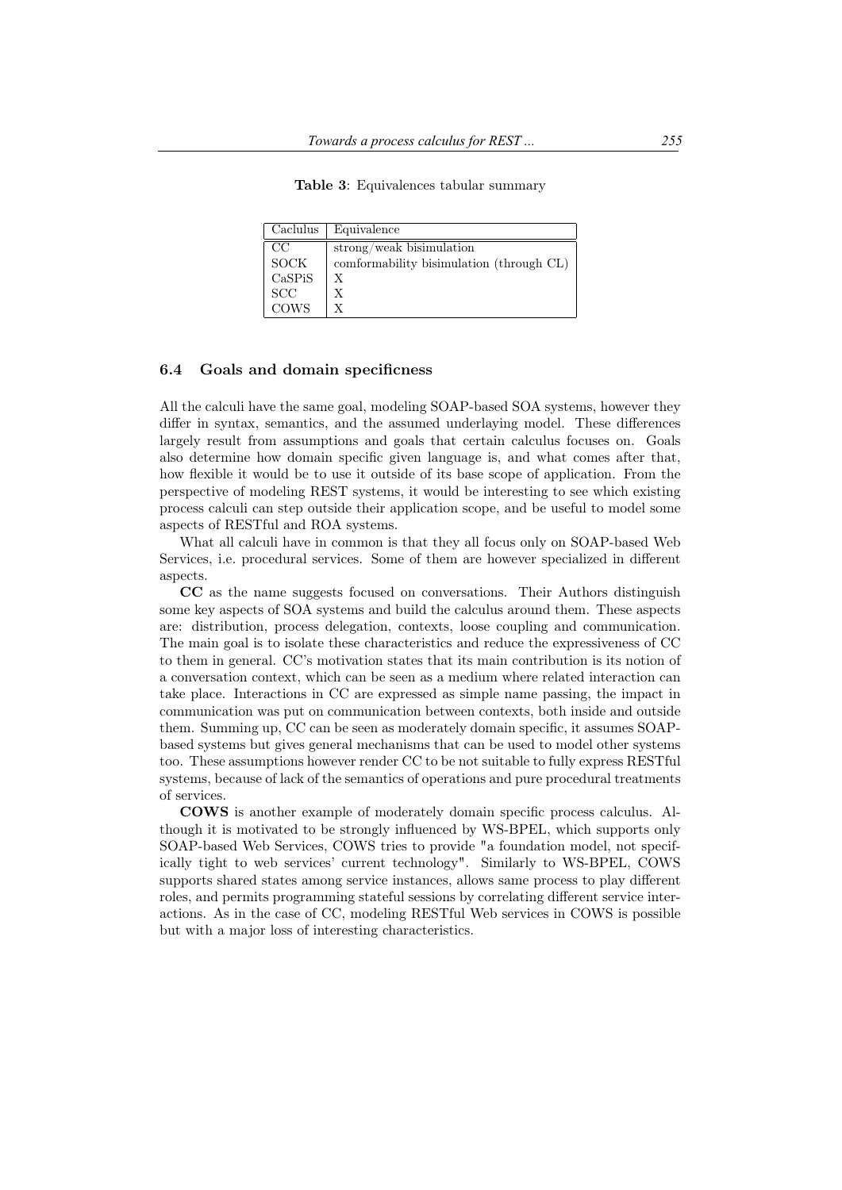Table 3: Equivalences tabular summary

| Caclulus                   | Equivalence                              |
|----------------------------|------------------------------------------|
| CC                         | $strong/weak$ bisimulation               |
| SOCK                       | comformability bisimulation (through CL) |
| CaSPiS                     | X                                        |
| <b>SCC</b>                 | Х                                        |
| $\overline{\mathrm{rows}}$ | X                                        |

#### 6.4 Goals and domain specificness

All the calculi have the same goal, modeling SOAP-based SOA systems, however they differ in syntax, semantics, and the assumed underlaying model. These differences largely result from assumptions and goals that certain calculus focuses on. Goals also determine how domain specific given language is, and what comes after that, how flexible it would be to use it outside of its base scope of application. From the perspective of modeling REST systems, it would be interesting to see which existing process calculi can step outside their application scope, and be useful to model some aspects of RESTful and ROA systems.

What all calculi have in common is that they all focus only on SOAP-based Web Services, i.e. procedural services. Some of them are however specialized in different aspects.

CC as the name suggests focused on conversations. Their Authors distinguish some key aspects of SOA systems and build the calculus around them. These aspects are: distribution, process delegation, contexts, loose coupling and communication. The main goal is to isolate these characteristics and reduce the expressiveness of CC to them in general. CC's motivation states that its main contribution is its notion of a conversation context, which can be seen as a medium where related interaction can take place. Interactions in CC are expressed as simple name passing, the impact in communication was put on communication between contexts, both inside and outside them. Summing up, CC can be seen as moderately domain specific, it assumes SOAPbased systems but gives general mechanisms that can be used to model other systems too. These assumptions however render CC to be not suitable to fully express RESTful systems, because of lack of the semantics of operations and pure procedural treatments of services.

COWS is another example of moderately domain specific process calculus. Although it is motivated to be strongly influenced by WS-BPEL, which supports only SOAP-based Web Services, COWS tries to provide "a foundation model, not specifically tight to web services' current technology". Similarly to WS-BPEL, COWS supports shared states among service instances, allows same process to play different roles, and permits programming stateful sessions by correlating different service interactions. As in the case of CC, modeling RESTful Web services in COWS is possible but with a major loss of interesting characteristics.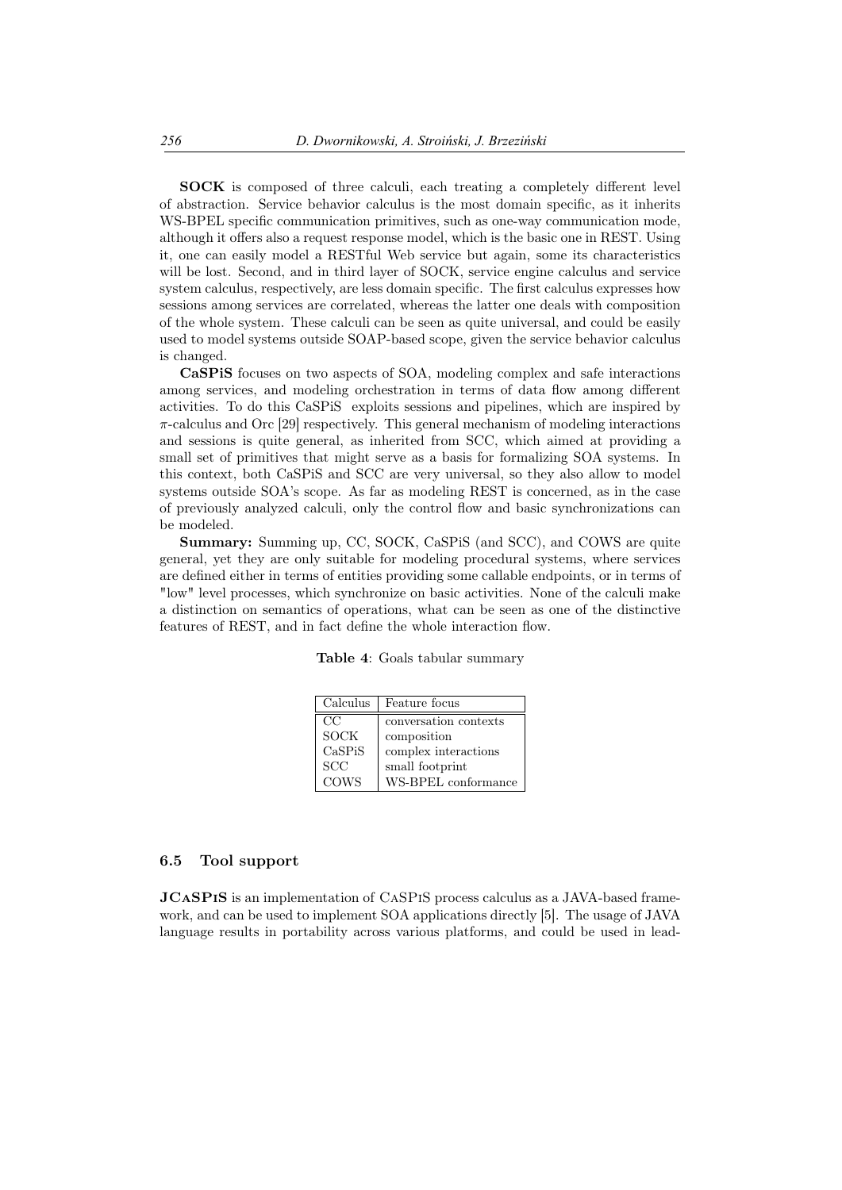SOCK is composed of three calculi, each treating a completely different level of abstraction. Service behavior calculus is the most domain specific, as it inherits WS-BPEL specific communication primitives, such as one-way communication mode, although it offers also a request response model, which is the basic one in REST. Using it, one can easily model a RESTful Web service but again, some its characteristics will be lost. Second, and in third layer of SOCK, service engine calculus and service system calculus, respectively, are less domain specific. The first calculus expresses how sessions among services are correlated, whereas the latter one deals with composition of the whole system. These calculi can be seen as quite universal, and could be easily used to model systems outside SOAP-based scope, given the service behavior calculus is changed.

CaSPiS focuses on two aspects of SOA, modeling complex and safe interactions among services, and modeling orchestration in terms of data flow among different activities. To do this CaSPiS exploits sessions and pipelines, which are inspired by *π*-calculus and Orc [29] respectively. This general mechanism of modeling interactions and sessions is quite general, as inherited from SCC, which aimed at providing a small set of primitives that might serve as a basis for formalizing SOA systems. In this context, both CaSPiS and SCC are very universal, so they also allow to model systems outside SOA's scope. As far as modeling REST is concerned, as in the case of previously analyzed calculi, only the control flow and basic synchronizations can be modeled.

Summary: Summing up, CC, SOCK, CaSPiS (and SCC), and COWS are quite general, yet they are only suitable for modeling procedural systems, where services are defined either in terms of entities providing some callable endpoints, or in terms of "low" level processes, which synchronize on basic activities. None of the calculi make a distinction on semantics of operations, what can be seen as one of the distinctive features of REST, and in fact define the whole interaction flow.

| Table 4: Goals tabular summary |
|--------------------------------|
|                                |

| Calculus    | Feature focus         |
|-------------|-----------------------|
| CC          | conversation contexts |
| <b>SOCK</b> | composition           |
| CaSPiS      | complex interactions  |
| SCC         | small footprint       |
| <b>COWS</b> | WS-BPEL conformance   |

#### 6.5 Tool support

JCASPIS is an implementation of CASPIS process calculus as a JAVA-based framework, and can be used to implement SOA applications directly [5]. The usage of JAVA language results in portability across various platforms, and could be used in lead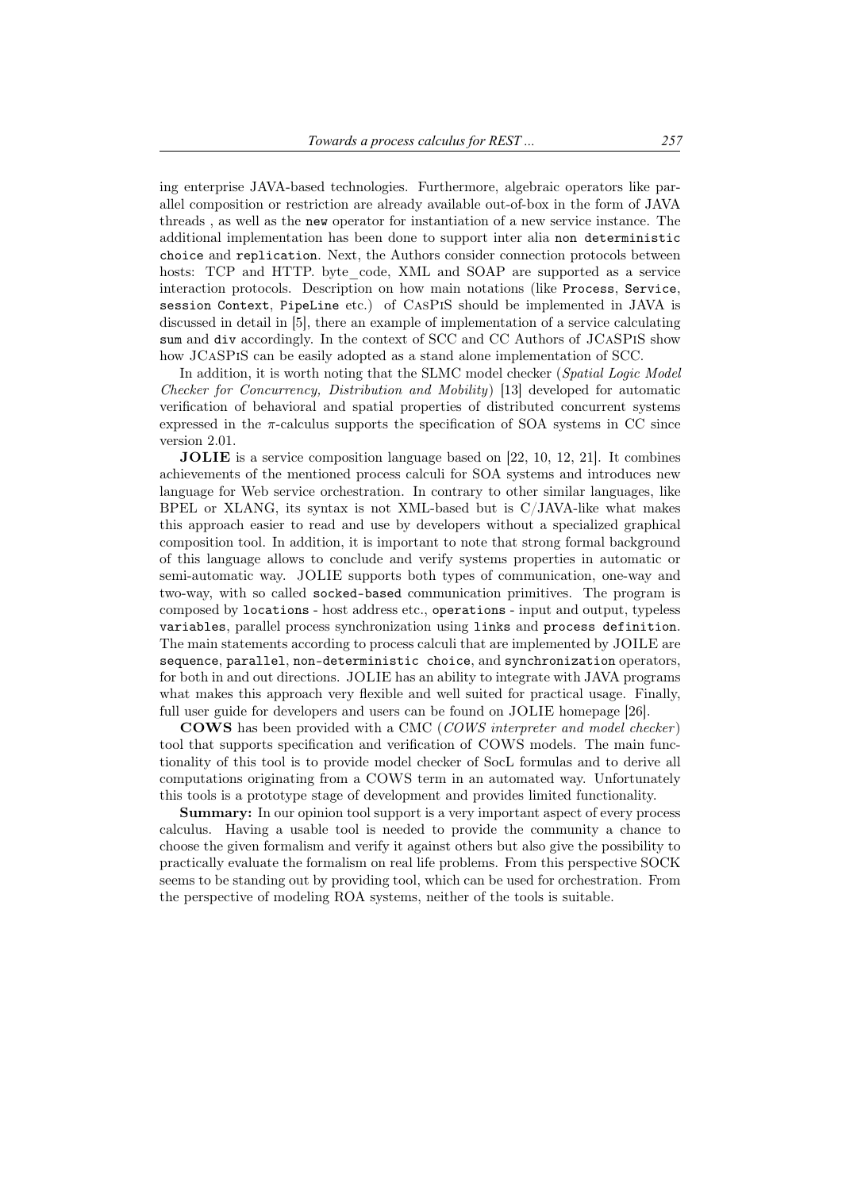ing enterprise JAVA-based technologies. Furthermore, algebraic operators like parallel composition or restriction are already available out-of-box in the form of JAVA threads , as well as the new operator for instantiation of a new service instance. The additional implementation has been done to support inter alia non deterministic choice and replication. Next, the Authors consider connection protocols between hosts: TCP and HTTP. byte\_code, XML and SOAP are supported as a service interaction protocols. Description on how main notations (like Process, Service, session Context, PipeLine etc.) of CasPiS should be implemented in JAVA is discussed in detail in [5], there an example of implementation of a service calculating sum and div accordingly. In the context of SCC and CC Authors of JCaSPiS show how JCaSPiS can be easily adopted as a stand alone implementation of SCC.

In addition, it is worth noting that the SLMC model checker (*Spatial Logic Model Checker for Concurrency, Distribution and Mobility*) [13] developed for automatic verification of behavioral and spatial properties of distributed concurrent systems expressed in the  $\pi$ -calculus supports the specification of SOA systems in CC since version 2.01.

JOLIE is a service composition language based on [22, 10, 12, 21]. It combines achievements of the mentioned process calculi for SOA systems and introduces new language for Web service orchestration. In contrary to other similar languages, like BPEL or XLANG, its syntax is not XML-based but is C/JAVA-like what makes this approach easier to read and use by developers without a specialized graphical composition tool. In addition, it is important to note that strong formal background of this language allows to conclude and verify systems properties in automatic or semi-automatic way. JOLIE supports both types of communication, one-way and two-way, with so called socked-based communication primitives. The program is composed by locations - host address etc., operations - input and output, typeless variables, parallel process synchronization using links and process definition. The main statements according to process calculi that are implemented by JOILE are sequence, parallel, non-deterministic choice, and synchronization operators, for both in and out directions. JOLIE has an ability to integrate with JAVA programs what makes this approach very flexible and well suited for practical usage. Finally, full user guide for developers and users can be found on JOLIE homepage [26].

COWS has been provided with a CMC (*COWS interpreter and model checker* ) tool that supports specification and verification of COWS models. The main functionality of this tool is to provide model checker of SocL formulas and to derive all computations originating from a COWS term in an automated way. Unfortunately this tools is a prototype stage of development and provides limited functionality.

Summary: In our opinion tool support is a very important aspect of every process calculus. Having a usable tool is needed to provide the community a chance to choose the given formalism and verify it against others but also give the possibility to practically evaluate the formalism on real life problems. From this perspective SOCK seems to be standing out by providing tool, which can be used for orchestration. From the perspective of modeling ROA systems, neither of the tools is suitable.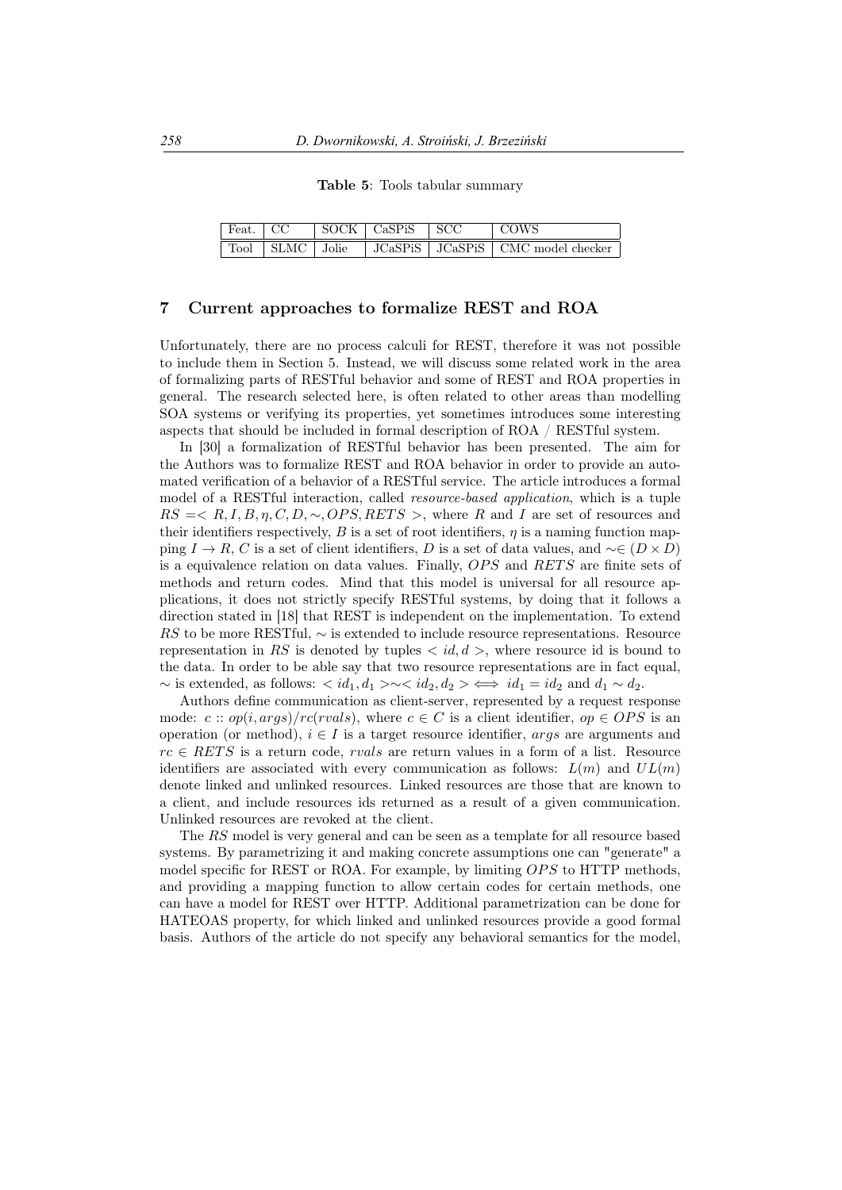Table 5: Tools tabular summary

|  | $\vert$ Feat. $\vert$ CC $\vert$ SOCK $\vert$ CaSPiS $\vert$ SCC | l COWS                                                      |
|--|------------------------------------------------------------------|-------------------------------------------------------------|
|  |                                                                  | Tool   SLMC   Jolie   JCaSPiS   JCaSPiS   CMC model checker |

#### 7 Current approaches to formalize REST and ROA

Unfortunately, there are no process calculi for REST, therefore it was not possible to include them in Section 5. Instead, we will discuss some related work in the area of formalizing parts of RESTful behavior and some of REST and ROA properties in general. The research selected here, is often related to other areas than modelling SOA systems or verifying its properties, yet sometimes introduces some interesting aspects that should be included in formal description of ROA / RESTful system.

In [30] a formalization of RESTful behavior has been presented. The aim for the Authors was to formalize REST and ROA behavior in order to provide an automated verification of a behavior of a RESTful service. The article introduces a formal model of a RESTful interaction, called *resource-based application*, which is a tuple  $RS \leq R, I, B, \eta, C, D, \sim OPS, RETS >$ , where R and I are set of resources and their identifiers respectively, *B* is a set of root identifiers,  $\eta$  is a naming function mapping *I* → *R*, *C* is a set of client identifiers, *D* is a set of data values, and  $\sim \in (D \times D)$ is a equivalence relation on data values. Finally, *OPS* and *RETS* are finite sets of methods and return codes. Mind that this model is universal for all resource applications, it does not strictly specify RESTful systems, by doing that it follows a direction stated in [18] that REST is independent on the implementation. To extend *RS* to be more RESTful, *∼* is extended to include resource representations. Resource representation in *RS* is denoted by tuples  $\langle id, d \rangle$ , where resource id is bound to the data. In order to be able say that two resource representations are in fact equal,  $∼$  is extended, as follows:  $\langle id_1, d_1 \rangle \sim \langle id_2, d_2 \rangle \iff id_1 = id_2$  and  $d_1 ∼ d_2$ .

Authors define communication as client-server, represented by a request response mode:  $c :: op(i, args)/rc(rvals),$  where  $c \in C$  is a client identifier,  $op \in OPS$  is an operation (or method), *i ∈ I* is a target resource identifier, *args* are arguments and  $rc \in RETS$  is a return code, *rvals* are return values in a form of a list. Resource identifiers are associated with every communication as follows:  $L(m)$  and  $UL(m)$ denote linked and unlinked resources. Linked resources are those that are known to a client, and include resources ids returned as a result of a given communication. Unlinked resources are revoked at the client.

The *RS* model is very general and can be seen as a template for all resource based systems. By parametrizing it and making concrete assumptions one can "generate" a model specific for REST or ROA. For example, by limiting *OPS* to HTTP methods, and providing a mapping function to allow certain codes for certain methods, one can have a model for REST over HTTP. Additional parametrization can be done for HATEOAS property, for which linked and unlinked resources provide a good formal basis. Authors of the article do not specify any behavioral semantics for the model,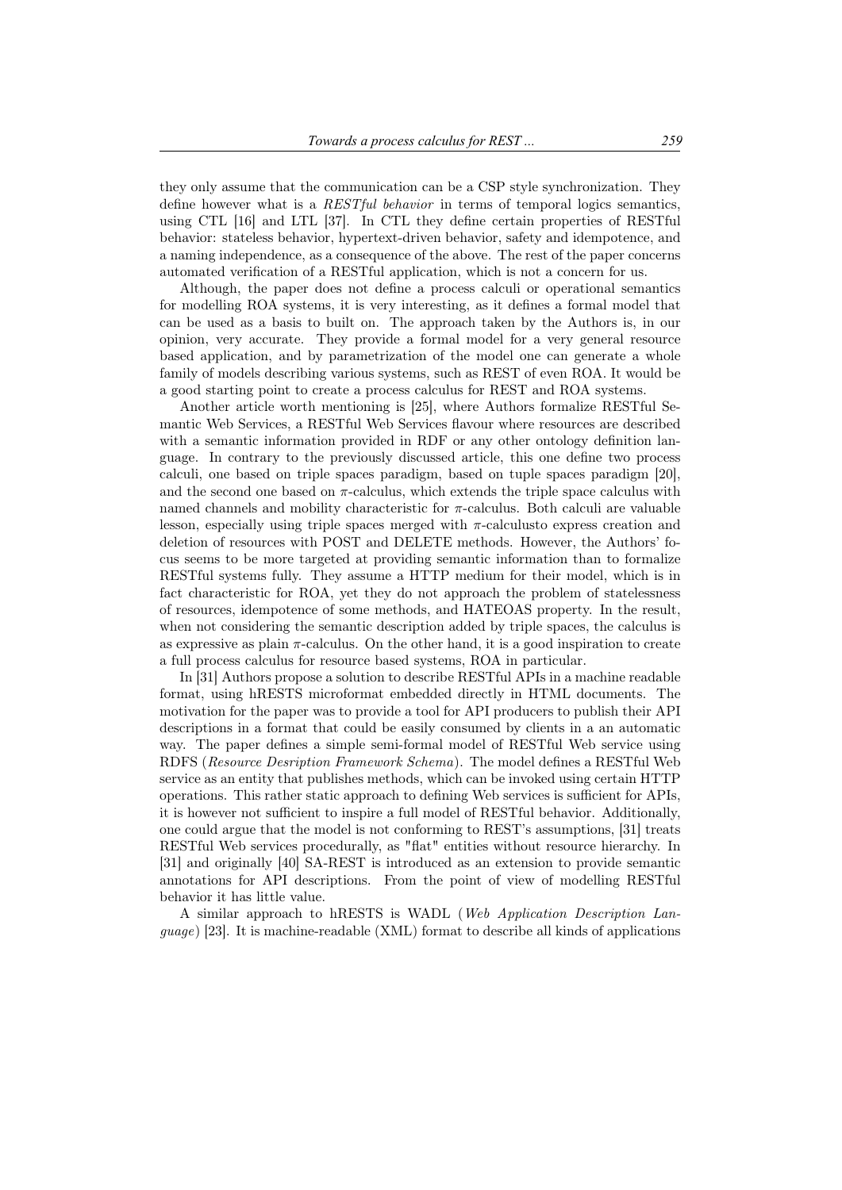they only assume that the communication can be a CSP style synchronization. They define however what is a *RESTful behavior* in terms of temporal logics semantics, using CTL [16] and LTL [37]. In CTL they define certain properties of RESTful behavior: stateless behavior, hypertext-driven behavior, safety and idempotence, and a naming independence, as a consequence of the above. The rest of the paper concerns automated verification of a RESTful application, which is not a concern for us.

Although, the paper does not define a process calculi or operational semantics for modelling ROA systems, it is very interesting, as it defines a formal model that can be used as a basis to built on. The approach taken by the Authors is, in our opinion, very accurate. They provide a formal model for a very general resource based application, and by parametrization of the model one can generate a whole family of models describing various systems, such as REST of even ROA. It would be a good starting point to create a process calculus for REST and ROA systems.

Another article worth mentioning is [25], where Authors formalize RESTful Semantic Web Services, a RESTful Web Services flavour where resources are described with a semantic information provided in RDF or any other ontology definition language. In contrary to the previously discussed article, this one define two process calculi, one based on triple spaces paradigm, based on tuple spaces paradigm [20], and the second one based on  $\pi$ -calculus, which extends the triple space calculus with named channels and mobility characteristic for  $\pi$ -calculus. Both calculi are valuable lesson, especially using triple spaces merged with  $\pi$ -calculusto express creation and deletion of resources with POST and DELETE methods. However, the Authors' focus seems to be more targeted at providing semantic information than to formalize RESTful systems fully. They assume a HTTP medium for their model, which is in fact characteristic for ROA, yet they do not approach the problem of statelessness of resources, idempotence of some methods, and HATEOAS property. In the result, when not considering the semantic description added by triple spaces, the calculus is as expressive as plain  $\pi$ -calculus. On the other hand, it is a good inspiration to create a full process calculus for resource based systems, ROA in particular.

In [31] Authors propose a solution to describe RESTful APIs in a machine readable format, using hRESTS microformat embedded directly in HTML documents. The motivation for the paper was to provide a tool for API producers to publish their API descriptions in a format that could be easily consumed by clients in a an automatic way. The paper defines a simple semi-formal model of RESTful Web service using RDFS (*Resource Desription Framework Schema*). The model defines a RESTful Web service as an entity that publishes methods, which can be invoked using certain HTTP operations. This rather static approach to defining Web services is sufficient for APIs, it is however not sufficient to inspire a full model of RESTful behavior. Additionally, one could argue that the model is not conforming to REST's assumptions, [31] treats RESTful Web services procedurally, as "flat" entities without resource hierarchy. In [31] and originally [40] SA-REST is introduced as an extension to provide semantic annotations for API descriptions. From the point of view of modelling RESTful behavior it has little value.

A similar approach to hRESTS is WADL (*Web Application Description Language*) [23]. It is machine-readable (XML) format to describe all kinds of applications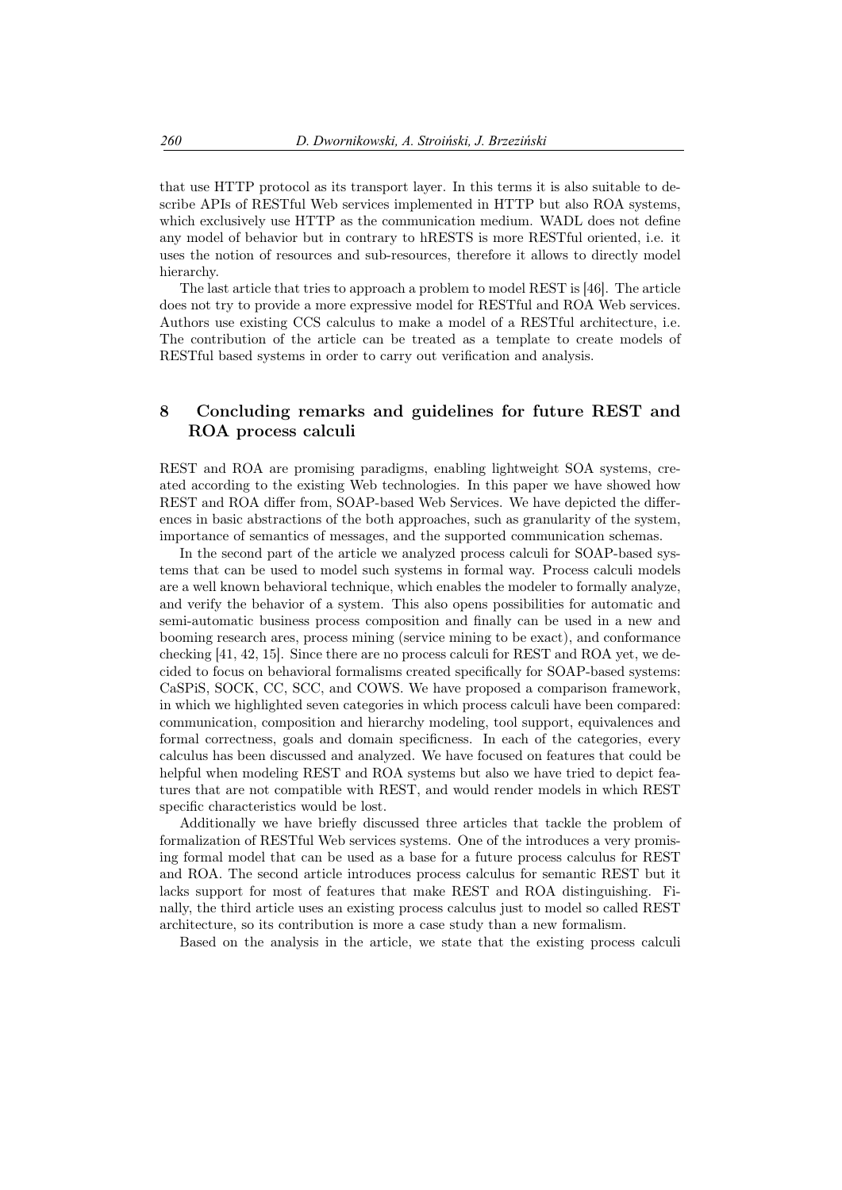that use HTTP protocol as its transport layer. In this terms it is also suitable to describe APIs of RESTful Web services implemented in HTTP but also ROA systems, which exclusively use HTTP as the communication medium. WADL does not define any model of behavior but in contrary to hRESTS is more RESTful oriented, i.e. it uses the notion of resources and sub-resources, therefore it allows to directly model hierarchy.

The last article that tries to approach a problem to model REST is [46]. The article does not try to provide a more expressive model for RESTful and ROA Web services. Authors use existing CCS calculus to make a model of a RESTful architecture, i.e. The contribution of the article can be treated as a template to create models of RESTful based systems in order to carry out verification and analysis.

## 8 Concluding remarks and guidelines for future REST and ROA process calculi

REST and ROA are promising paradigms, enabling lightweight SOA systems, created according to the existing Web technologies. In this paper we have showed how REST and ROA differ from, SOAP-based Web Services. We have depicted the differences in basic abstractions of the both approaches, such as granularity of the system, importance of semantics of messages, and the supported communication schemas.

In the second part of the article we analyzed process calculi for SOAP-based systems that can be used to model such systems in formal way. Process calculi models are a well known behavioral technique, which enables the modeler to formally analyze, and verify the behavior of a system. This also opens possibilities for automatic and semi-automatic business process composition and finally can be used in a new and booming research ares, process mining (service mining to be exact), and conformance checking [41, 42, 15]. Since there are no process calculi for REST and ROA yet, we decided to focus on behavioral formalisms created specifically for SOAP-based systems: CaSPiS, SOCK, CC, SCC, and COWS. We have proposed a comparison framework, in which we highlighted seven categories in which process calculi have been compared: communication, composition and hierarchy modeling, tool support, equivalences and formal correctness, goals and domain specificness. In each of the categories, every calculus has been discussed and analyzed. We have focused on features that could be helpful when modeling REST and ROA systems but also we have tried to depict features that are not compatible with REST, and would render models in which REST specific characteristics would be lost.

Additionally we have briefly discussed three articles that tackle the problem of formalization of RESTful Web services systems. One of the introduces a very promising formal model that can be used as a base for a future process calculus for REST and ROA. The second article introduces process calculus for semantic REST but it lacks support for most of features that make REST and ROA distinguishing. Finally, the third article uses an existing process calculus just to model so called REST architecture, so its contribution is more a case study than a new formalism.

Based on the analysis in the article, we state that the existing process calculi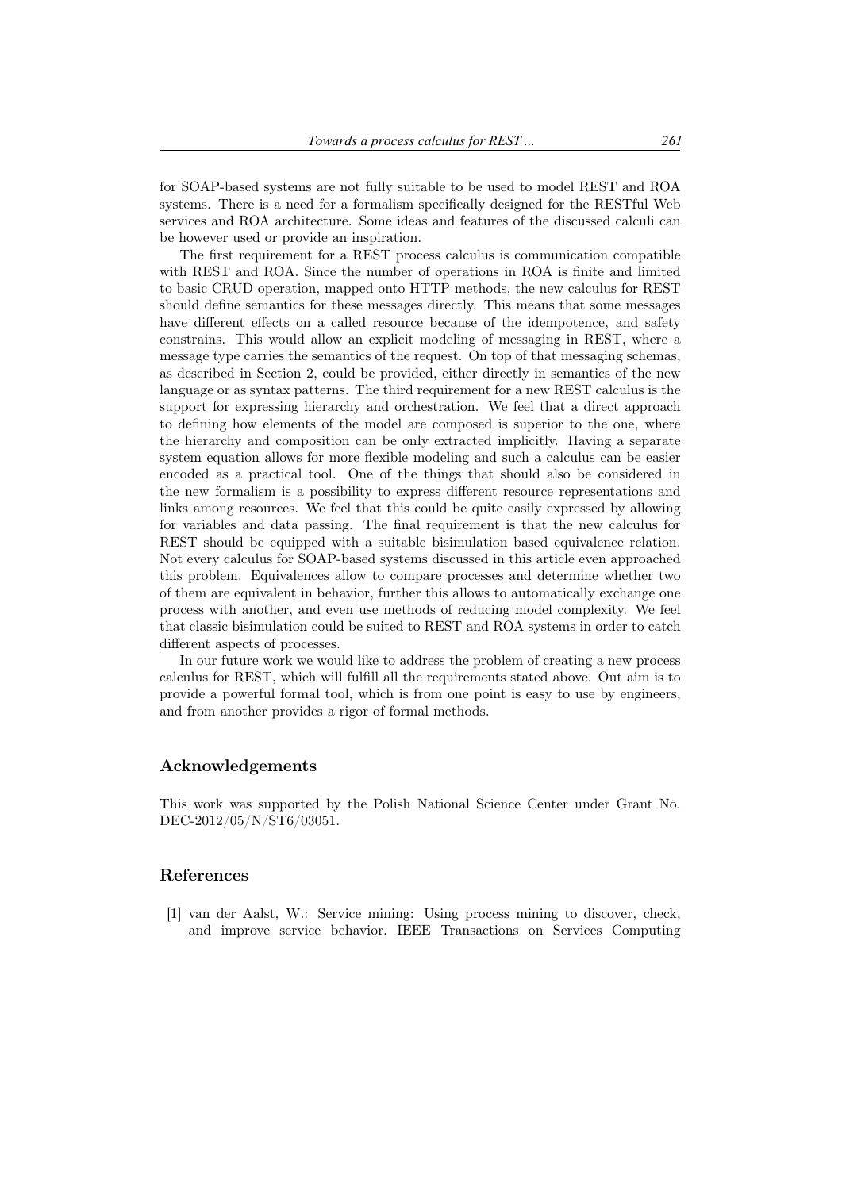for SOAP-based systems are not fully suitable to be used to model REST and ROA systems. There is a need for a formalism specifically designed for the RESTful Web services and ROA architecture. Some ideas and features of the discussed calculi can be however used or provide an inspiration.

The first requirement for a REST process calculus is communication compatible with REST and ROA. Since the number of operations in ROA is finite and limited to basic CRUD operation, mapped onto HTTP methods, the new calculus for REST should define semantics for these messages directly. This means that some messages have different effects on a called resource because of the idempotence, and safety constrains. This would allow an explicit modeling of messaging in REST, where a message type carries the semantics of the request. On top of that messaging schemas, as described in Section 2, could be provided, either directly in semantics of the new language or as syntax patterns. The third requirement for a new REST calculus is the support for expressing hierarchy and orchestration. We feel that a direct approach to defining how elements of the model are composed is superior to the one, where the hierarchy and composition can be only extracted implicitly. Having a separate system equation allows for more flexible modeling and such a calculus can be easier encoded as a practical tool. One of the things that should also be considered in the new formalism is a possibility to express different resource representations and links among resources. We feel that this could be quite easily expressed by allowing for variables and data passing. The final requirement is that the new calculus for REST should be equipped with a suitable bisimulation based equivalence relation. Not every calculus for SOAP-based systems discussed in this article even approached this problem. Equivalences allow to compare processes and determine whether two of them are equivalent in behavior, further this allows to automatically exchange one process with another, and even use methods of reducing model complexity. We feel that classic bisimulation could be suited to REST and ROA systems in order to catch different aspects of processes.

In our future work we would like to address the problem of creating a new process calculus for REST, which will fulfill all the requirements stated above. Out aim is to provide a powerful formal tool, which is from one point is easy to use by engineers, and from another provides a rigor of formal methods.

### Acknowledgements

This work was supported by the Polish National Science Center under Grant No. DEC-2012/05/N/ST6/03051.

### References

[1] van der Aalst, W.: Service mining: Using process mining to discover, check, and improve service behavior. IEEE Transactions on Services Computing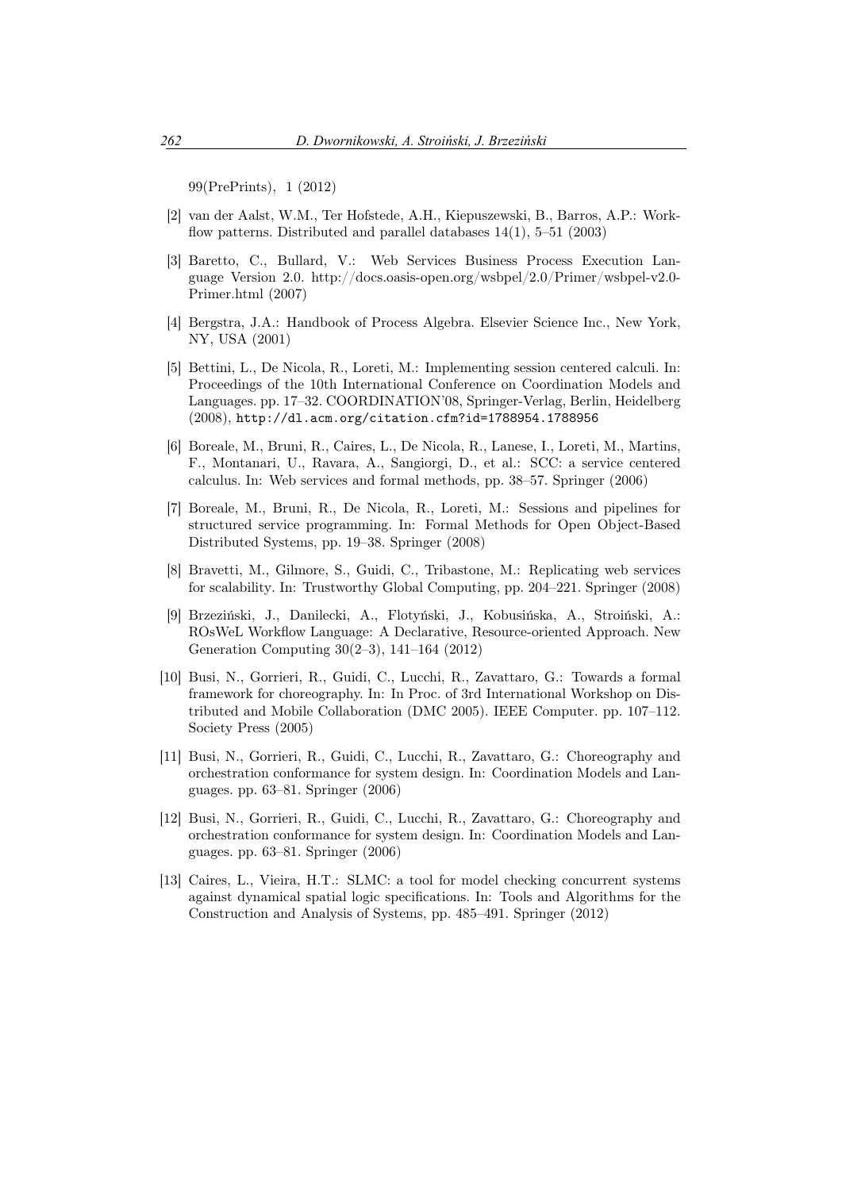99(PrePrints), 1 (2012)

- [2] van der Aalst, W.M., Ter Hofstede, A.H., Kiepuszewski, B., Barros, A.P.: Workflow patterns. Distributed and parallel databases  $14(1)$ , 5–51 (2003)
- [3] Baretto, C., Bullard, V.: Web Services Business Process Execution Language Version 2.0. http://docs.oasis-open.org/wsbpel/2.0/Primer/wsbpel-v2.0- Primer.html (2007)
- [4] Bergstra, J.A.: Handbook of Process Algebra. Elsevier Science Inc., New York, NY, USA (2001)
- [5] Bettini, L., De Nicola, R., Loreti, M.: Implementing session centered calculi. In: Proceedings of the 10th International Conference on Coordination Models and Languages. pp. 17–32. COORDINATION'08, Springer-Verlag, Berlin, Heidelberg (2008), http://dl.acm.org/citation.cfm?id=1788954.1788956
- [6] Boreale, M., Bruni, R., Caires, L., De Nicola, R., Lanese, I., Loreti, M., Martins, F., Montanari, U., Ravara, A., Sangiorgi, D., et al.: SCC: a service centered calculus. In: Web services and formal methods, pp. 38–57. Springer (2006)
- [7] Boreale, M., Bruni, R., De Nicola, R., Loreti, M.: Sessions and pipelines for structured service programming. In: Formal Methods for Open Object-Based Distributed Systems, pp. 19–38. Springer (2008)
- [8] Bravetti, M., Gilmore, S., Guidi, C., Tribastone, M.: Replicating web services for scalability. In: Trustworthy Global Computing, pp. 204–221. Springer (2008)
- [9] Brzeziński, J., Danilecki, A., Flotyński, J., Kobusińska, A., Stroiński, A.: ROsWeL Workflow Language: A Declarative, Resource-oriented Approach. New Generation Computing 30(2–3), 141–164 (2012)
- [10] Busi, N., Gorrieri, R., Guidi, C., Lucchi, R., Zavattaro, G.: Towards a formal framework for choreography. In: In Proc. of 3rd International Workshop on Distributed and Mobile Collaboration (DMC 2005). IEEE Computer. pp. 107–112. Society Press (2005)
- [11] Busi, N., Gorrieri, R., Guidi, C., Lucchi, R., Zavattaro, G.: Choreography and orchestration conformance for system design. In: Coordination Models and Languages. pp. 63–81. Springer (2006)
- [12] Busi, N., Gorrieri, R., Guidi, C., Lucchi, R., Zavattaro, G.: Choreography and orchestration conformance for system design. In: Coordination Models and Languages. pp. 63–81. Springer (2006)
- [13] Caires, L., Vieira, H.T.: SLMC: a tool for model checking concurrent systems against dynamical spatial logic specifications. In: Tools and Algorithms for the Construction and Analysis of Systems, pp. 485–491. Springer (2012)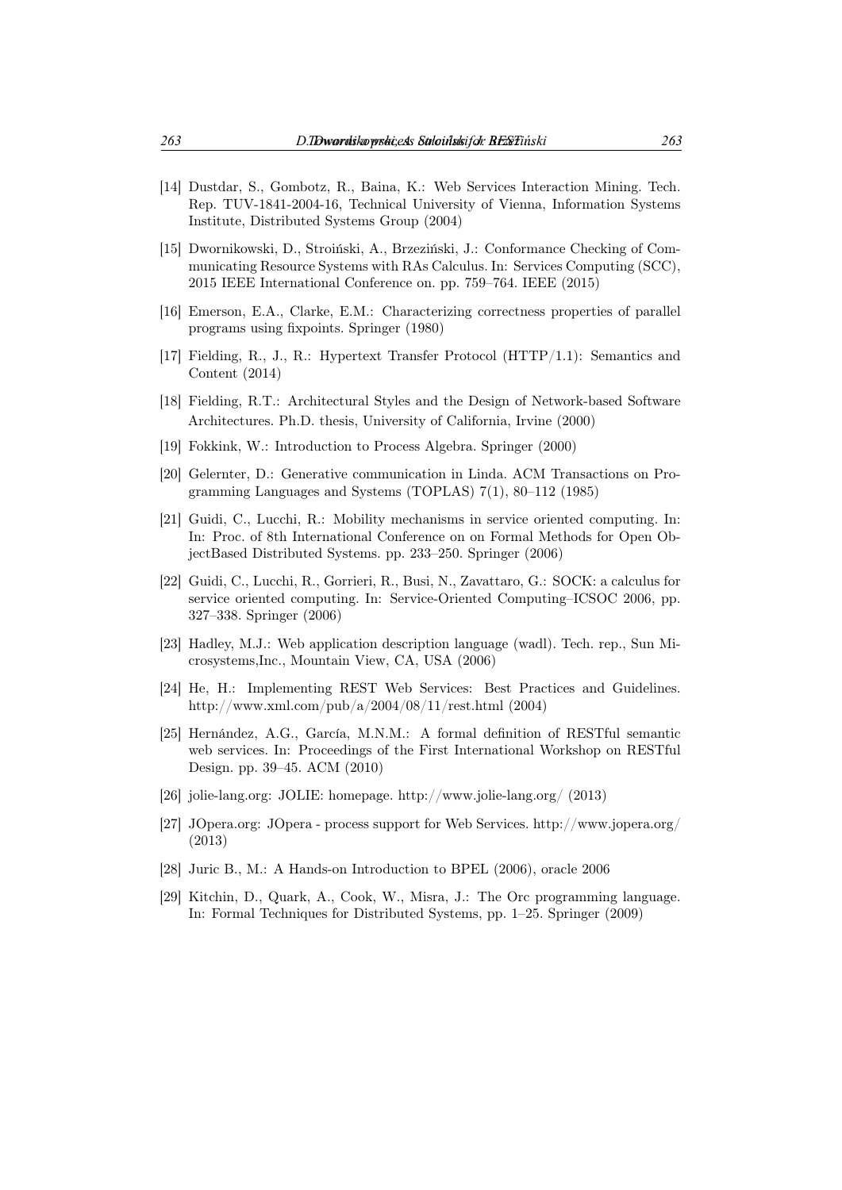- [14] Dustdar, S., Gombotz, R., Baina, K.: Web Services Interaction Mining. Tech. Rep. TUV-1841-2004-16, Technical University of Vienna, Information Systems Institute, Distributed Systems Group (2004)
- [15] Dwornikowski, D., Stroiński, A., Brzeziński, J.: Conformance Checking of Communicating Resource Systems with RAs Calculus. In: Services Computing (SCC), 2015 IEEE International Conference on. pp. 759–764. IEEE (2015)
- [16] Emerson, E.A., Clarke, E.M.: Characterizing correctness properties of parallel programs using fixpoints. Springer (1980)
- [17] Fielding, R., J., R.: Hypertext Transfer Protocol (HTTP/1.1): Semantics and Content (2014)
- [18] Fielding, R.T.: Architectural Styles and the Design of Network-based Software Architectures. Ph.D. thesis, University of California, Irvine (2000)
- [19] Fokkink, W.: Introduction to Process Algebra. Springer (2000)
- [20] Gelernter, D.: Generative communication in Linda. ACM Transactions on Programming Languages and Systems (TOPLAS) 7(1), 80–112 (1985)
- [21] Guidi, C., Lucchi, R.: Mobility mechanisms in service oriented computing. In: In: Proc. of 8th International Conference on on Formal Methods for Open ObjectBased Distributed Systems. pp. 233–250. Springer (2006)
- [22] Guidi, C., Lucchi, R., Gorrieri, R., Busi, N., Zavattaro, G.: SOCK: a calculus for service oriented computing. In: Service-Oriented Computing–ICSOC 2006, pp. 327–338. Springer (2006)
- [23] Hadley, M.J.: Web application description language (wadl). Tech. rep., Sun Microsystems,Inc., Mountain View, CA, USA (2006)
- [24] He, H.: Implementing REST Web Services: Best Practices and Guidelines. http://www.xml.com/pub/a/2004/08/11/rest.html (2004)
- [25] Hernández, A.G., García, M.N.M.: A formal definition of RESTful semantic web services. In: Proceedings of the First International Workshop on RESTful Design. pp. 39–45. ACM (2010)
- [26] jolie-lang.org: JOLIE: homepage. http://www.jolie-lang.org/ (2013)
- [27] JOpera.org: JOpera process support for Web Services. http://www.jopera.org/ (2013)
- [28] Juric B., M.: A Hands-on Introduction to BPEL (2006), oracle 2006
- [29] Kitchin, D., Quark, A., Cook, W., Misra, J.: The Orc programming language. In: Formal Techniques for Distributed Systems, pp. 1–25. Springer (2009)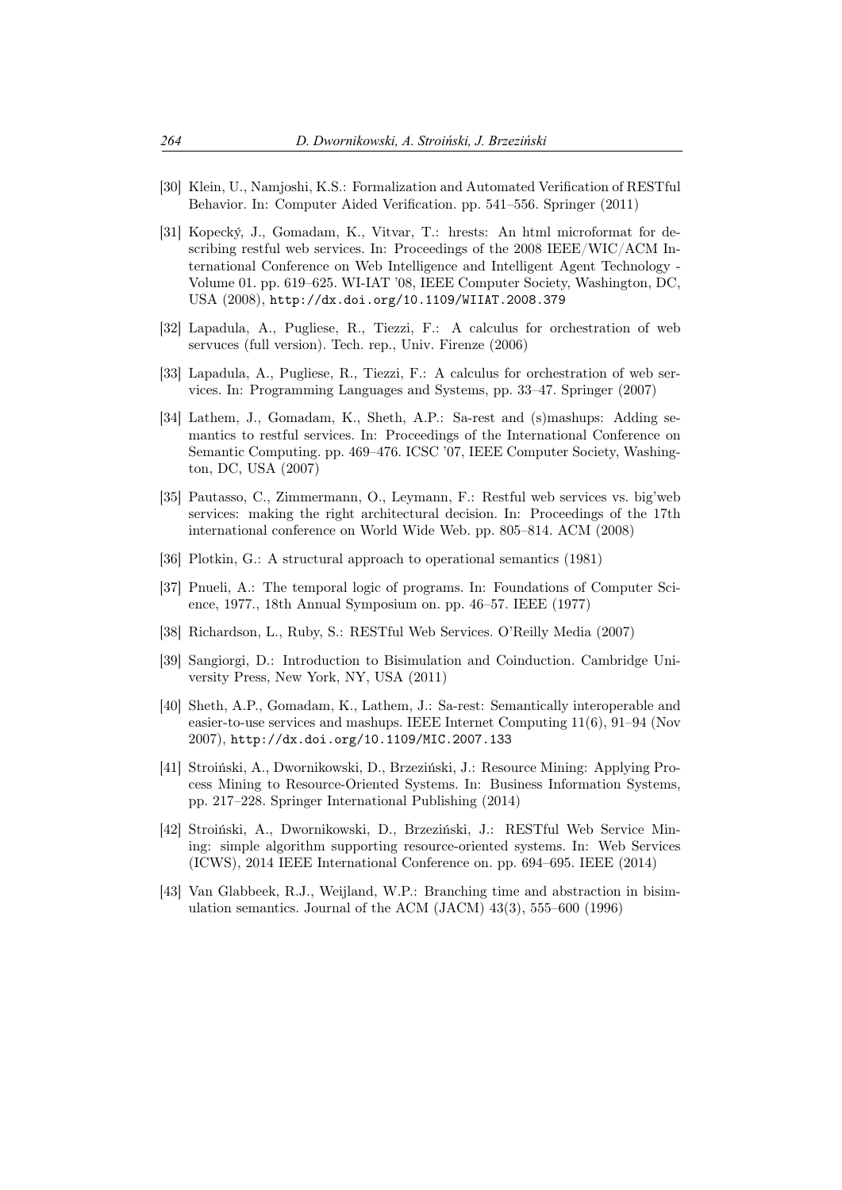- [30] Klein, U., Namjoshi, K.S.: Formalization and Automated Verification of RESTful Behavior. In: Computer Aided Verification. pp. 541–556. Springer (2011)
- [31] Kopecký, J., Gomadam, K., Vitvar, T.: hrests: An html microformat for describing restful web services. In: Proceedings of the 2008 IEEE/WIC/ACM International Conference on Web Intelligence and Intelligent Agent Technology - Volume 01. pp. 619–625. WI-IAT '08, IEEE Computer Society, Washington, DC, USA (2008), http://dx.doi.org/10.1109/WIIAT.2008.379
- [32] Lapadula, A., Pugliese, R., Tiezzi, F.: A calculus for orchestration of web servuces (full version). Tech. rep., Univ. Firenze (2006)
- [33] Lapadula, A., Pugliese, R., Tiezzi, F.: A calculus for orchestration of web services. In: Programming Languages and Systems, pp. 33–47. Springer (2007)
- [34] Lathem, J., Gomadam, K., Sheth, A.P.: Sa-rest and (s)mashups: Adding semantics to restful services. In: Proceedings of the International Conference on Semantic Computing. pp. 469–476. ICSC '07, IEEE Computer Society, Washington, DC, USA (2007)
- [35] Pautasso, C., Zimmermann, O., Leymann, F.: Restful web services vs. big'web services: making the right architectural decision. In: Proceedings of the 17th international conference on World Wide Web. pp. 805–814. ACM (2008)
- [36] Plotkin, G.: A structural approach to operational semantics (1981)
- [37] Pnueli, A.: The temporal logic of programs. In: Foundations of Computer Science, 1977., 18th Annual Symposium on. pp. 46–57. IEEE (1977)
- [38] Richardson, L., Ruby, S.: RESTful Web Services. O'Reilly Media (2007)
- [39] Sangiorgi, D.: Introduction to Bisimulation and Coinduction. Cambridge University Press, New York, NY, USA (2011)
- [40] Sheth, A.P., Gomadam, K., Lathem, J.: Sa-rest: Semantically interoperable and easier-to-use services and mashups. IEEE Internet Computing 11(6), 91–94 (Nov 2007), http://dx.doi.org/10.1109/MIC.2007.133
- [41] Stroiński, A., Dwornikowski, D., Brzeziński, J.: Resource Mining: Applying Process Mining to Resource-Oriented Systems. In: Business Information Systems, pp. 217–228. Springer International Publishing (2014)
- [42] Stroiński, A., Dwornikowski, D., Brzeziński, J.: RESTful Web Service Mining: simple algorithm supporting resource-oriented systems. In: Web Services (ICWS), 2014 IEEE International Conference on. pp. 694–695. IEEE (2014)
- [43] Van Glabbeek, R.J., Weijland, W.P.: Branching time and abstraction in bisimulation semantics. Journal of the ACM (JACM) 43(3), 555–600 (1996)